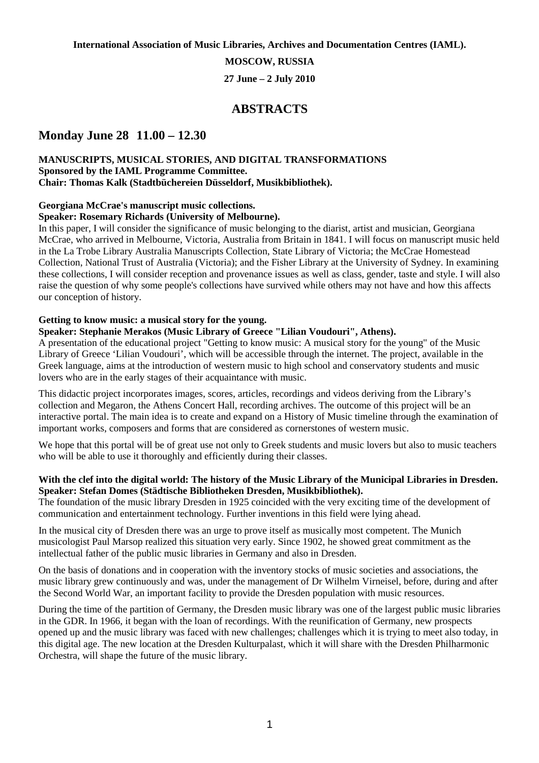**International Association of Music Libraries, Archives and Documentation Centres (IAML).** 

**MOSCOW, RUSSIA** 

**27 June – 2 July 2010** 

# **ABSTRACTS**

# **Monday June 28 11.00 – 12.30**

### **MANUSCRIPTS, MUSICAL STORIES, AND DIGITAL TRANSFORMATIONS Sponsored by the IAML Programme Committee. Chair: Thomas Kalk (Stadtbüchereien Düsseldorf, Musikbibliothek).**

### **Georgiana McCrae's manuscript music collections.**

### **Speaker: Rosemary Richards (University of Melbourne).**

In this paper, I will consider the significance of music belonging to the diarist, artist and musician, Georgiana McCrae, who arrived in Melbourne, Victoria, Australia from Britain in 1841. I will focus on manuscript music held in the La Trobe Library Australia Manuscripts Collection, State Library of Victoria; the McCrae Homestead Collection, National Trust of Australia (Victoria); and the Fisher Library at the University of Sydney. In examining these collections, I will consider reception and provenance issues as well as class, gender, taste and style. I will also raise the question of why some people's collections have survived while others may not have and how this affects our conception of history.

### **Getting to know music: a musical story for the young.**

### **Speaker: Stephanie Merakos (Music Library of Greece "Lilian Voudouri", Athens).**

A presentation of the educational project "Getting to know music: A musical story for the young" of the Music Library of Greece 'Lilian Voudouri', which will be accessible through the internet. The project, available in the Greek language, aims at the introduction of western music to high school and conservatory students and music lovers who are in the early stages of their acquaintance with music.

This didactic project incorporates images, scores, articles, recordings and videos deriving from the Library's collection and Megaron, the Athens Concert Hall, recording archives. The outcome of this project will be an interactive portal. The main idea is to create and expand on a History of Music timeline through the examination of important works, composers and forms that are considered as cornerstones of western music.

We hope that this portal will be of great use not only to Greek students and music lovers but also to music teachers who will be able to use it thoroughly and efficiently during their classes.

### **With the clef into the digital world: The history of the Music Library of the Municipal Libraries in Dresden. Speaker: Stefan Domes (Städtische Bibliotheken Dresden, Musikbibliothek).**

The foundation of the music library Dresden in 1925 coincided with the very exciting time of the development of communication and entertainment technology. Further inventions in this field were lying ahead.

In the musical city of Dresden there was an urge to prove itself as musically most competent. The Munich musicologist Paul Marsop realized this situation very early. Since 1902, he showed great commitment as the intellectual father of the public music libraries in Germany and also in Dresden.

On the basis of donations and in cooperation with the inventory stocks of music societies and associations, the music library grew continuously and was, under the management of Dr Wilhelm Virneisel, before, during and after the Second World War, an important facility to provide the Dresden population with music resources.

During the time of the partition of Germany, the Dresden music library was one of the largest public music libraries in the GDR. In 1966, it began with the loan of recordings. With the reunification of Germany, new prospects opened up and the music library was faced with new challenges; challenges which it is trying to meet also today, in this digital age. The new location at the Dresden Kulturpalast, which it will share with the Dresden Philharmonic Orchestra, will shape the future of the music library.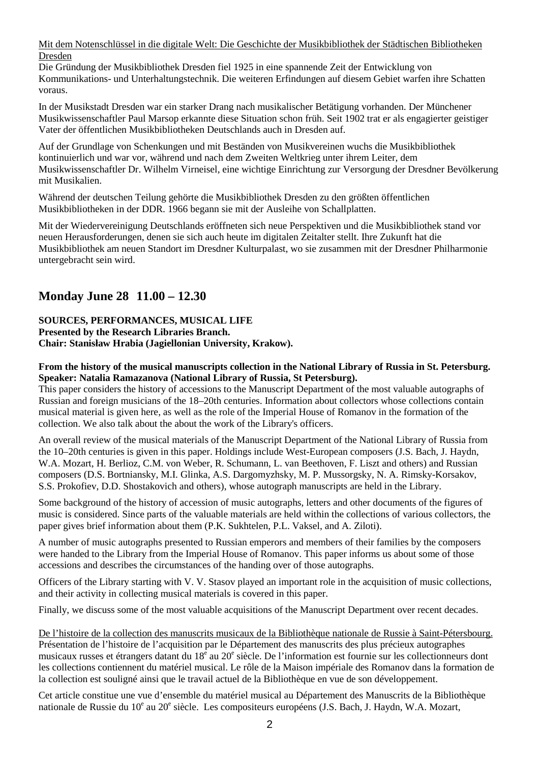Mit dem Notenschlüssel in die digitale Welt: Die Geschichte der Musikbibliothek der Städtischen Bibliotheken Dresden

Die Gründung der Musikbibliothek Dresden fiel 1925 in eine spannende Zeit der Entwicklung von Kommunikations- und Unterhaltungstechnik. Die weiteren Erfindungen auf diesem Gebiet warfen ihre Schatten voraus.

In der Musikstadt Dresden war ein starker Drang nach musikalischer Betätigung vorhanden. Der Münchener Musikwissenschaftler Paul Marsop erkannte diese Situation schon früh. Seit 1902 trat er als engagierter geistiger Vater der öffentlichen Musikbibliotheken Deutschlands auch in Dresden auf.

Auf der Grundlage von Schenkungen und mit Beständen von Musikvereinen wuchs die Musikbibliothek kontinuierlich und war vor, während und nach dem Zweiten Weltkrieg unter ihrem Leiter, dem Musikwissenschaftler Dr. Wilhelm Virneisel, eine wichtige Einrichtung zur Versorgung der Dresdner Bevölkerung mit Musikalien.

Während der deutschen Teilung gehörte die Musikbibliothek Dresden zu den größten öffentlichen Musikbibliotheken in der DDR. 1966 begann sie mit der Ausleihe von Schallplatten.

Mit der Wiedervereinigung Deutschlands eröffneten sich neue Perspektiven und die Musikbibliothek stand vor neuen Herausforderungen, denen sie sich auch heute im digitalen Zeitalter stellt. Ihre Zukunft hat die Musikbibliothek am neuen Standort im Dresdner Kulturpalast, wo sie zusammen mit der Dresdner Philharmonie untergebracht sein wird.

# **Monday June 28 11.00 – 12.30**

**SOURCES, PERFORMANCES, MUSICAL LIFE Presented by the Research Libraries Branch. Chair: Stanisław Hrabia (Jagiellonian University, Krakow).** 

### **From the history of the musical manuscripts collection in the National Library of Russia in St. Petersburg. Speaker: Natalia Ramazanova (National Library of Russia, St Petersburg).**

This paper considers the history of accessions to the Manuscript Department of the most valuable autographs of Russian and foreign musicians of the 18–20th centuries. Information about collectors whose collections contain musical material is given here, as well as the role of the Imperial House of Romanov in the formation of the collection. We also talk about the about the work of the Library's officers.

An overall review of the musical materials of the Manuscript Department of the National Library of Russia from the 10–20th centuries is given in this paper. Holdings include West-European composers (J.S. Bach, J. Haydn, W.A. Mozart, H. Berlioz, C.M. von Weber, R. Schumann, L. van Beethoven, F. Liszt and others) and Russian composers (D.S. Bortniansky, M.I. Glinka, A.S. Dargomyzhsky, M. P. Mussorgsky, N. A. Rimsky-Korsakov, S.S. Prokofiev, D.D. Shostakovich and others), whose autograph manuscripts are held in the Library.

Some background of the history of accession of music autographs, letters and other documents of the figures of music is considered. Since parts of the valuable materials are held within the collections of various collectors, the paper gives brief information about them (P.K. Sukhtelen, P.L. Vaksel, and A. Ziloti).

A number of music autographs presented to Russian emperors and members of their families by the composers were handed to the Library from the Imperial House of Romanov. This paper informs us about some of those accessions and describes the circumstances of the handing over of those autographs.

Officers of the Library starting with V. V. Stasov played an important role in the acquisition of music collections, and their activity in collecting musical materials is covered in this paper.

Finally, we discuss some of the most valuable acquisitions of the Manuscript Department over recent decades.

De l'histoire de la collection des manuscrits musicaux de la Bibliothèque nationale de Russie à Saint-Pétersbourg. Présentation de l'histoire de l'acquisition par le Département des manuscrits des plus précieux autographes musicaux russes et étrangers datant du 18<sup>e</sup> au 20<sup>e</sup> siècle. De l'information est fournie sur les collectionneurs dont les collections contiennent du matériel musical. Le rôle de la Maison impériale des Romanov dans la formation de la collection est souligné ainsi que le travail actuel de la Bibliothèque en vue de son développement.

Cet article constitue une vue d'ensemble du matériel musical au Département des Manuscrits de la Bibliothèque nationale de Russie du 10<sup>e</sup> au 20<sup>e</sup> siècle. Les compositeurs européens (J.S. Bach, J. Haydn, W.A. Mozart,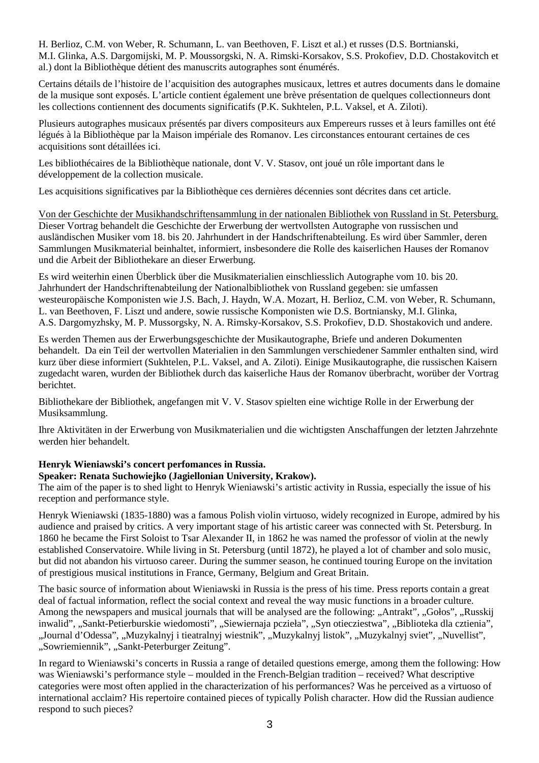H. Berlioz, C.M. von Weber, R. Schumann, L. van Beethoven, F. Liszt et al.) et russes (D.S. Bortnianski, M.I. Glinka, A.S. Dargomijski, M. P. Moussorgski, N. A. Rimski-Korsakov, S.S. Prokofiev, D.D. Chostakovitch et al.) dont la Bibliothèque détient des manuscrits autographes sont énumérés.

Certains détails de l'histoire de l'acquisition des autographes musicaux, lettres et autres documents dans le domaine de la musique sont exposés. L'article contient également une brève présentation de quelques collectionneurs dont les collections contiennent des documents significatifs (P.K. Sukhtelen, P.L. Vaksel, et A. Ziloti).

Plusieurs autographes musicaux présentés par divers compositeurs aux Empereurs russes et à leurs familles ont été légués à la Bibliothèque par la Maison impériale des Romanov. Les circonstances entourant certaines de ces acquisitions sont détaillées ici.

Les bibliothécaires de la Bibliothèque nationale, dont V. V. Stasov, ont joué un rôle important dans le développement de la collection musicale.

Les acquisitions significatives par la Bibliothèque ces dernières décennies sont décrites dans cet article.

Von der Geschichte der Musikhandschriftensammlung in der nationalen Bibliothek von Russland in St. Petersburg. Dieser Vortrag behandelt die Geschichte der Erwerbung der wertvollsten Autographe von russischen und ausländischen Musiker vom 18. bis 20. Jahrhundert in der Handschriftenabteilung. Es wird über Sammler, deren Sammlungen Musikmaterial beinhaltet, informiert, insbesondere die Rolle des kaiserlichen Hauses der Romanov und die Arbeit der Bibliothekare an dieser Erwerbung.

Es wird weiterhin einen Überblick über die Musikmaterialien einschliesslich Autographe vom 10. bis 20. Jahrhundert der Handschriftenabteilung der Nationalbibliothek von Russland gegeben: sie umfassen westeuropäische Komponisten wie J.S. Bach, J. Haydn, W.A. Mozart, H. Berlioz, C.M. von Weber, R. Schumann, L. van Beethoven, F. Liszt und andere, sowie russische Komponisten wie D.S. Bortniansky, M.I. Glinka, A.S. Dargomyzhsky, M. P. Mussorgsky, N. A. Rimsky-Korsakov, S.S. Prokofiev, D.D. Shostakovich und andere.

Es werden Themen aus der Erwerbungsgeschichte der Musikautographe, Briefe und anderen Dokumenten behandelt. Da ein Teil der wertvollen Materialien in den Sammlungen verschiedener Sammler enthalten sind, wird kurz über diese informiert (Sukhtelen, P.L. Vaksel, and A. Ziloti). Einige Musikautographe, die russischen Kaisern zugedacht waren, wurden der Bibliothek durch das kaiserliche Haus der Romanov überbracht, worüber der Vortrag berichtet.

Bibliothekare der Bibliothek, angefangen mit V. V. Stasov spielten eine wichtige Rolle in der Erwerbung der Musiksammlung.

Ihre Aktivitäten in der Erwerbung von Musikmaterialien und die wichtigsten Anschaffungen der letzten Jahrzehnte werden hier behandelt.

#### **Henryk Wieniawski's concert perfomances in Russia. Speaker: Renata Suchowiejko (Jagiellonian University, Krakow).**

The aim of the paper is to shed light to Henryk Wieniawski's artistic activity in Russia, especially the issue of his

reception and performance style.

Henryk Wieniawski (1835-1880) was a famous Polish violin virtuoso, widely recognized in Europe, admired by his audience and praised by critics. A very important stage of his artistic career was connected with St. Petersburg. In 1860 he became the First Soloist to Tsar Alexander II, in 1862 he was named the professor of violin at the newly established Conservatoire. While living in St. Petersburg (until 1872), he played a lot of chamber and solo music, but did not abandon his virtuoso career. During the summer season, he continued touring Europe on the invitation of prestigious musical institutions in France, Germany, Belgium and Great Britain.

The basic source of information about Wieniawski in Russia is the press of his time. Press reports contain a great deal of factual information, reflect the social context and reveal the way music functions in a broader culture. Among the newspapers and musical journals that will be analysed are the following: "Antrakt", "Gołos", "Russkij inwalid", "Sankt-Petierburskie wiedomosti", "Siewiernaja pczieła", "Syn otiecziestwa", "Biblioteka dla cztienia", "Journal d'Odessa", "Muzykalnyj i tieatralnyj wiestnik", "Muzykalnyj listok", "Muzykalnyj sviet", "Nuvellist", "Sowriemiennik", "Sankt-Peterburger Zeitung".

In regard to Wieniawski's concerts in Russia a range of detailed questions emerge, among them the following: How was Wieniawski's performance style – moulded in the French-Belgian tradition – received? What descriptive categories were most often applied in the characterization of his performances? Was he perceived as a virtuoso of international acclaim? His repertoire contained pieces of typically Polish character. How did the Russian audience respond to such pieces?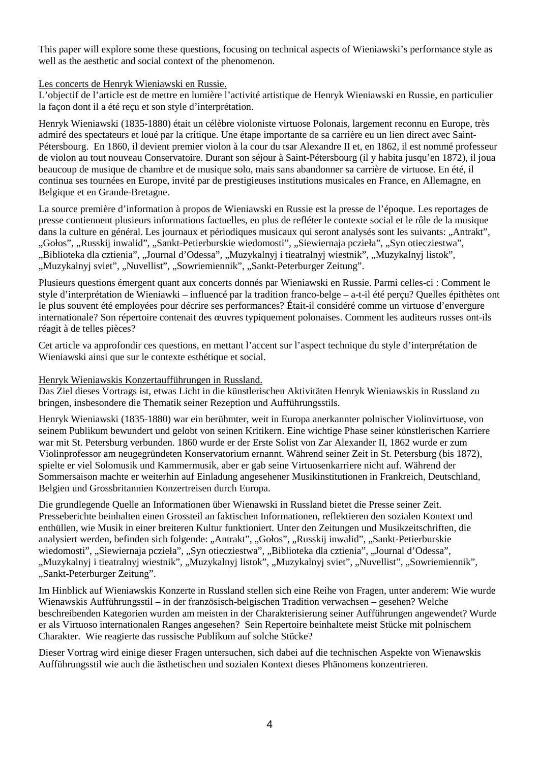This paper will explore some these questions, focusing on technical aspects of Wieniawski's performance style as well as the aesthetic and social context of the phenomenon.

### Les concerts de Henryk Wieniawski en Russie.

L'objectif de l'article est de mettre en lumière l'activité artistique de Henryk Wieniawski en Russie, en particulier la façon dont il a été reçu et son style d'interprétation.

Henryk Wieniawski (1835-1880) était un célèbre violoniste virtuose Polonais, largement reconnu en Europe, très admiré des spectateurs et loué par la critique. Une étape importante de sa carrière eu un lien direct avec Saint-Pétersbourg. En 1860, il devient premier violon à la cour du tsar Alexandre II et, en 1862, il est nommé professeur de violon au tout nouveau Conservatoire. Durant son séjour à Saint-Pétersbourg (il y habita jusqu'en 1872), il joua beaucoup de musique de chambre et de musique solo, mais sans abandonner sa carrière de virtuose. En été, il continua ses tournées en Europe, invité par de prestigieuses institutions musicales en France, en Allemagne, en Belgique et en Grande-Bretagne.

La source première d'information à propos de Wieniawski en Russie est la presse de l'époque. Les reportages de presse contiennent plusieurs informations factuelles, en plus de refléter le contexte social et le rôle de la musique dans la culture en général. Les journaux et périodiques musicaux qui seront analysés sont les suivants: "Antrakt", "Gołos", "Russkij inwalid", "Sankt-Petierburskie wiedomosti", "Siewiernaja pczieła", "Syn otiecziestwa", "Biblioteka dla cztienia", "Journal d'Odessa", "Muzykalnyj i tieatralnyj wiestnik", "Muzykalnyj listok", "Muzykalnyj sviet", "Nuvellist", "Sowriemiennik", "Sankt-Peterburger Zeitung".

Plusieurs questions émergent quant aux concerts donnés par Wieniawski en Russie. Parmi celles-ci : Comment le style d'interprétation de Wieniawki – influencé par la tradition franco-belge – a-t-il été perçu? Quelles épithètes ont le plus souvent été employées pour décrire ses performances? Était-il considéré comme un virtuose d'envergure internationale? Son répertoire contenait des œuvres typiquement polonaises. Comment les auditeurs russes ont-ils réagit à de telles pièces?

Cet article va approfondir ces questions, en mettant l'accent sur l'aspect technique du style d'interprétation de Wieniawski ainsi que sur le contexte esthétique et social.

### Henryk Wieniawskis Konzertaufführungen in Russland.

Das Ziel dieses Vortrags ist, etwas Licht in die künstlerischen Aktivitäten Henryk Wieniawskis in Russland zu bringen, insbesondere die Thematik seiner Rezeption und Aufführungsstils.

Henryk Wieniawski (1835-1880) war ein berühmter, weit in Europa anerkannter polnischer Violinvirtuose, von seinem Publikum bewundert und gelobt von seinen Kritikern. Eine wichtige Phase seiner künstlerischen Karriere war mit St. Petersburg verbunden. 1860 wurde er der Erste Solist von Zar Alexander II, 1862 wurde er zum Violinprofessor am neugegründeten Konservatorium ernannt. Während seiner Zeit in St. Petersburg (bis 1872), spielte er viel Solomusik und Kammermusik, aber er gab seine Virtuosenkarriere nicht auf. Während der Sommersaison machte er weiterhin auf Einladung angesehener Musikinstitutionen in Frankreich, Deutschland, Belgien und Grossbritannien Konzertreisen durch Europa.

Die grundlegende Quelle an Informationen über Wienawski in Russland bietet die Presse seiner Zeit. Presseberichte beinhalten einen Grossteil an faktischen Informationen, reflektieren den sozialen Kontext und enthüllen, wie Musik in einer breiteren Kultur funktioniert. Unter den Zeitungen und Musikzeitschriften, die analysiert werden, befinden sich folgende: "Antrakt", "Gołos", "Russkij inwalid", "Sankt-Petierburskie wiedomosti", "Siewiernaja pczieła", "Syn otiecziestwa", "Biblioteka dla cztienia", "Journal d'Odessa", "Muzykalnyj i tieatralnyj wiestnik", "Muzykalnyj listok", "Muzykalnyj sviet", "Nuvellist", "Sowriemiennik", "Sankt-Peterburger Zeitung".

Im Hinblick auf Wieniawskis Konzerte in Russland stellen sich eine Reihe von Fragen, unter anderem: Wie wurde Wienawskis Aufführungsstil – in der französisch-belgischen Tradition verwachsen – gesehen? Welche beschreibenden Kategorien wurden am meisten in der Charakterisierung seiner Aufführungen angewendet? Wurde er als Virtuoso internationalen Ranges angesehen? Sein Repertoire beinhaltete meist Stücke mit polnischem Charakter. Wie reagierte das russische Publikum auf solche Stücke?

Dieser Vortrag wird einige dieser Fragen untersuchen, sich dabei auf die technischen Aspekte von Wienawskis Aufführungsstil wie auch die ästhetischen und sozialen Kontext dieses Phänomens konzentrieren.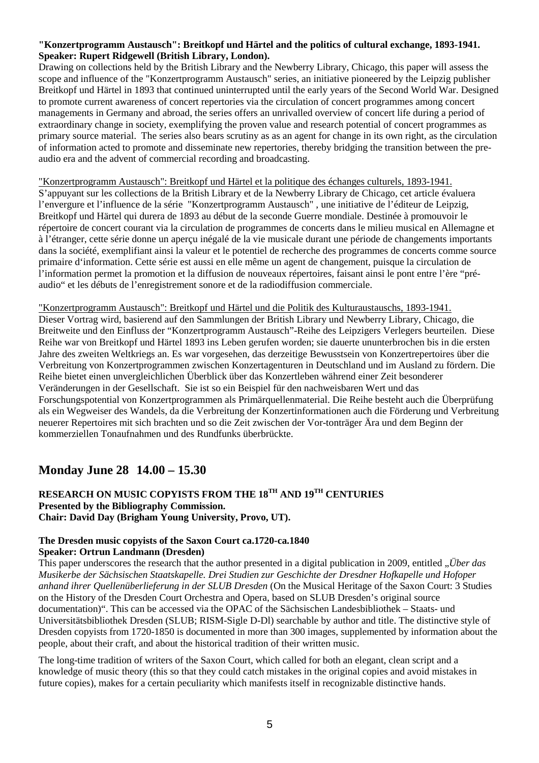### **"Konzertprogramm Austausch": Breitkopf und Härtel and the politics of cultural exchange, 1893-1941. Speaker: Rupert Ridgewell (British Library, London).**

Drawing on collections held by the British Library and the Newberry Library, Chicago, this paper will assess the scope and influence of the "Konzertprogramm Austausch" series, an initiative pioneered by the Leipzig publisher Breitkopf und Härtel in 1893 that continued uninterrupted until the early years of the Second World War. Designed to promote current awareness of concert repertories via the circulation of concert programmes among concert managements in Germany and abroad, the series offers an unrivalled overview of concert life during a period of extraordinary change in society, exemplifying the proven value and research potential of concert programmes as primary source material. The series also bears scrutiny as as an agent for change in its own right, as the circulation of information acted to promote and disseminate new repertories, thereby bridging the transition between the preaudio era and the advent of commercial recording and broadcasting.

### "Konzertprogramm Austausch": Breitkopf und Härtel et la politique des échanges culturels, 1893-1941.

S'appuyant sur les collections de la British Library et de la Newberry Library de Chicago, cet article évaluera l'envergure et l'influence de la série "Konzertprogramm Austausch" , une initiative de l'éditeur de Leipzig, Breitkopf und Härtel qui durera de 1893 au début de la seconde Guerre mondiale. Destinée à promouvoir le répertoire de concert courant via la circulation de programmes de concerts dans le milieu musical en Allemagne et à l'étranger, cette série donne un aperçu inégalé de la vie musicale durant une période de changements importants dans la société, exemplifiant ainsi la valeur et le potentiel de recherche des programmes de concerts comme source primaire d'information. Cette série est aussi en elle même un agent de changement, puisque la circulation de l'information permet la promotion et la diffusion de nouveaux répertoires, faisant ainsi le pont entre l'ère "préaudio" et les débuts de l'enregistrement sonore et de la radiodiffusion commerciale.

# "Konzertprogramm Austausch": Breitkopf und Härtel und die Politik des Kulturaustauschs, 1893-1941.

Dieser Vortrag wird, basierend auf den Sammlungen der British Library und Newberry Library, Chicago, die Breitweite und den Einfluss der "Konzertprogramm Austausch"-Reihe des Leipzigers Verlegers beurteilen. Diese Reihe war von Breitkopf und Härtel 1893 ins Leben gerufen worden; sie dauerte ununterbrochen bis in die ersten Jahre des zweiten Weltkriegs an. Es war vorgesehen, das derzeitige Bewusstsein von Konzertrepertoires über die Verbreitung von Konzertprogrammen zwischen Konzertagenturen in Deutschland und im Ausland zu fördern. Die Reihe bietet einen unvergleichlichen Überblick über das Konzertleben während einer Zeit besonderer Veränderungen in der Gesellschaft. Sie ist so ein Beispiel für den nachweisbaren Wert und das Forschungspotential von Konzertprogrammen als Primärquellenmaterial. Die Reihe besteht auch die Überprüfung als ein Wegweiser des Wandels, da die Verbreitung der Konzertinformationen auch die Förderung und Verbreitung neuerer Repertoires mit sich brachten und so die Zeit zwischen der Vor-tonträger Ära und dem Beginn der kommerziellen Tonaufnahmen und des Rundfunks überbrückte.

# **Monday June 28 14.00 – 15.30**

# **RESEARCH ON MUSIC COPYISTS FROM THE 18TH AND 19TH CENTURIES Presented by the Bibliography Commission. Chair: David Day (Brigham Young University, Provo, UT).**

### **The Dresden music copyists of the Saxon Court ca.1720-ca.1840 Speaker: Ortrun Landmann (Dresden)**

This paper underscores the research that the author presented in a digital publication in 2009, entitled *"Über das Musikerbe der Sächsischen Staatskapelle. Drei Studien zur Geschichte der Dresdner Hofkapelle und Hofoper anhand ihrer Quellenüberlieferung in der SLUB Dresden* (On the Musical Heritage of the Saxon Court: 3 Studies on the History of the Dresden Court Orchestra and Opera, based on SLUB Dresden's original source documentation)". This can be accessed via the OPAC of the Sächsischen Landesbibliothek – Staats- und Universitätsbibliothek Dresden (SLUB; RISM-Sigle D-Dl) searchable by author and title. The distinctive style of Dresden copyists from 1720-1850 is documented in more than 300 images, supplemented by information about the people, about their craft, and about the historical tradition of their written music.

The long-time tradition of writers of the Saxon Court, which called for both an elegant, clean script and a knowledge of music theory (this so that they could catch mistakes in the original copies and avoid mistakes in future copies), makes for a certain peculiarity which manifests itself in recognizable distinctive hands.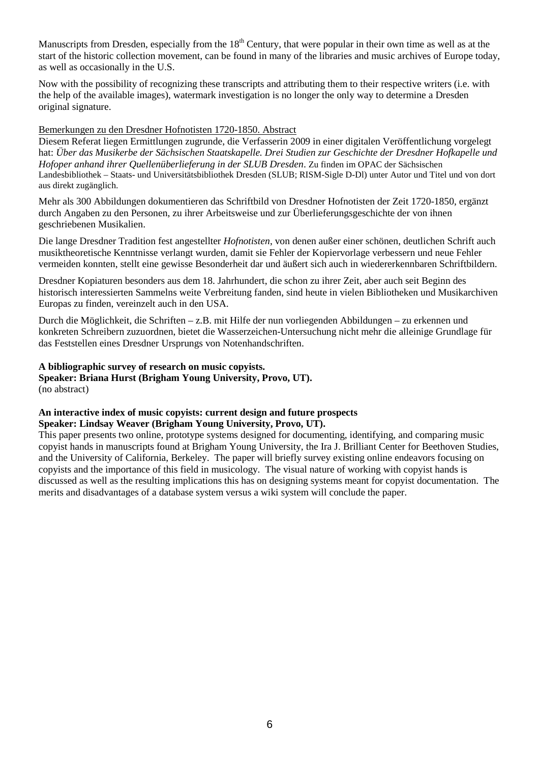Manuscripts from Dresden, especially from the  $18<sup>th</sup>$  Century, that were popular in their own time as well as at the start of the historic collection movement, can be found in many of the libraries and music archives of Europe today, as well as occasionally in the U.S.

Now with the possibility of recognizing these transcripts and attributing them to their respective writers (i.e. with the help of the available images), watermark investigation is no longer the only way to determine a Dresden original signature.

### Bemerkungen zu den Dresdner Hofnotisten 1720-1850. Abstract

Diesem Referat liegen Ermittlungen zugrunde, die Verfasserin 2009 in einer digitalen Veröffentlichung vorgelegt hat: *Über das Musikerbe der Sächsischen Staatskapelle. Drei Studien zur Geschichte der Dresdner Hofkapelle und Hofoper anhand ihrer Quellenüberlieferung in der SLUB Dresden*. Zu finden im OPAC der Sächsischen Landesbibliothek – Staats- und Universitätsbibliothek Dresden (SLUB; RISM-Sigle D-Dl) unter Autor und Titel und von dort aus direkt zugänglich.

Mehr als 300 Abbildungen dokumentieren das Schriftbild von Dresdner Hofnotisten der Zeit 1720-1850, ergänzt durch Angaben zu den Personen, zu ihrer Arbeitsweise und zur Überlieferungsgeschichte der von ihnen geschriebenen Musikalien.

Die lange Dresdner Tradition fest angestellter *Hofnotisten*, von denen außer einer schönen, deutlichen Schrift auch musiktheoretische Kenntnisse verlangt wurden, damit sie Fehler der Kopiervorlage verbessern und neue Fehler vermeiden konnten, stellt eine gewisse Besonderheit dar und äußert sich auch in wiedererkennbaren Schriftbildern.

Dresdner Kopiaturen besonders aus dem 18. Jahrhundert, die schon zu ihrer Zeit, aber auch seit Beginn des historisch interessierten Sammelns weite Verbreitung fanden, sind heute in vielen Bibliotheken und Musikarchiven Europas zu finden, vereinzelt auch in den USA.

Durch die Möglichkeit, die Schriften – z.B. mit Hilfe der nun vorliegenden Abbildungen – zu erkennen und konkreten Schreibern zuzuordnen, bietet die Wasserzeichen-Untersuchung nicht mehr die alleinige Grundlage für das Feststellen eines Dresdner Ursprungs von Notenhandschriften.

## **A bibliographic survey of research on music copyists.**

**Speaker: Briana Hurst (Brigham Young University, Provo, UT).** (no abstract)

#### **An interactive index of music copyists: current design and future prospects Speaker: Lindsay Weaver (Brigham Young University, Provo, UT).**

This paper presents two online, prototype systems designed for documenting, identifying, and comparing music copyist hands in manuscripts found at Brigham Young University, the Ira J. Brilliant Center for Beethoven Studies, and the University of California, Berkeley. The paper will briefly survey existing online endeavors focusing on copyists and the importance of this field in musicology. The visual nature of working with copyist hands is discussed as well as the resulting implications this has on designing systems meant for copyist documentation. The merits and disadvantages of a database system versus a wiki system will conclude the paper.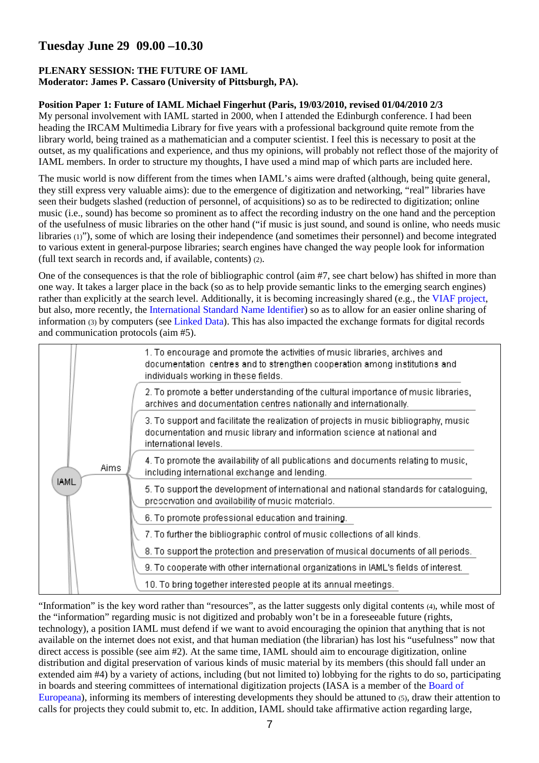# **Tuesday June 29 09.00 –10.30**

### **PLENARY SESSION: THE FUTURE OF IAML Moderator: James P. Cassaro (University of Pittsburgh, PA).**

## **Position Paper 1: Future of IAML Michael Fingerhut (Paris, 19/03/2010, revised 01/04/2010 2/3**

My personal involvement with IAML started in 2000, when I attended the Edinburgh conference. I had been heading the IRCAM Multimedia Library for five years with a professional background quite remote from the library world, being trained as a mathematician and a computer scientist. I feel this is necessary to posit at the outset, as my qualifications and experience, and thus my opinions, will probably not reflect those of the majority of IAML members. In order to structure my thoughts, I have used a mind map of which parts are included here.

The music world is now different from the times when IAML's aims were drafted (although, being quite general, they still express very valuable aims): due to the emergence of digitization and networking, "real" libraries have seen their budgets slashed (reduction of personnel, of acquisitions) so as to be redirected to digitization; online music (i.e., sound) has become so prominent as to affect the recording industry on the one hand and the perception of the usefulness of music libraries on the other hand ("if music is just sound, and sound is online, who needs music libraries (1)"), some of which are losing their independence (and sometimes their personnel) and become integrated to various extent in general-purpose libraries; search engines have changed the way people look for information (full text search in records and, if available, contents) (2).

One of the consequences is that the role of bibliographic control (aim #7, see chart below) has shifted in more than one way. It takes a larger place in the back (so as to help provide semantic links to the emerging search engines) rather than explicitly at the search level. Additionally, it is becoming increasingly shared (e.g., the VIAF project, but also, more recently, the International Standard Name Identifier) so as to allow for an easier online sharing of information (3) by computers (see Linked Data). This has also impacted the exchange formats for digital records and communication protocols (aim #5).



"Information" is the key word rather than "resources", as the latter suggests only digital contents (4), while most of the "information" regarding music is not digitized and probably won't be in a foreseeable future (rights, technology), a position IAML must defend if we want to avoid encouraging the opinion that anything that is not available on the internet does not exist, and that human mediation (the librarian) has lost his "usefulness" now that direct access is possible (see aim #2). At the same time, IAML should aim to encourage digitization, online distribution and digital preservation of various kinds of music material by its members (this should fall under an extended aim #4) by a variety of actions, including (but not limited to) lobbying for the rights to do so, participating in boards and steering committees of international digitization projects (IASA is a member of the Board of Europeana), informing its members of interesting developments they should be attuned to (5), draw their attention to calls for projects they could submit to, etc. In addition, IAML should take affirmative action regarding large,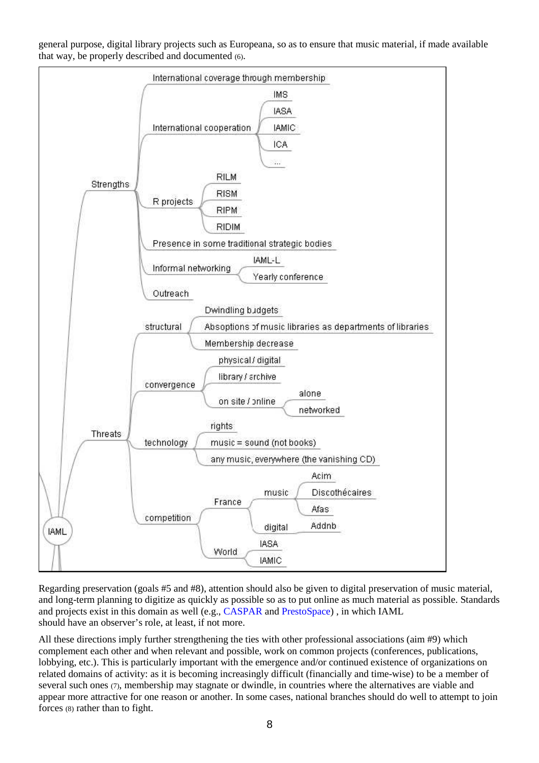general purpose, digital library projects such as Europeana, so as to ensure that music material, if made available that way, be properly described and documented (6).



Regarding preservation (goals #5 and #8), attention should also be given to digital preservation of music material, and long-term planning to digitize as quickly as possible so as to put online as much material as possible. Standards and projects exist in this domain as well (e.g., CASPAR and PrestoSpace) , in which IAML should have an observer's role, at least, if not more.

All these directions imply further strengthening the ties with other professional associations (aim #9) which complement each other and when relevant and possible, work on common projects (conferences, publications, lobbying, etc.). This is particularly important with the emergence and/or continued existence of organizations on related domains of activity: as it is becoming increasingly difficult (financially and time-wise) to be a member of several such ones (7), membership may stagnate or dwindle, in countries where the alternatives are viable and appear more attractive for one reason or another. In some cases, national branches should do well to attempt to join forces (8) rather than to fight.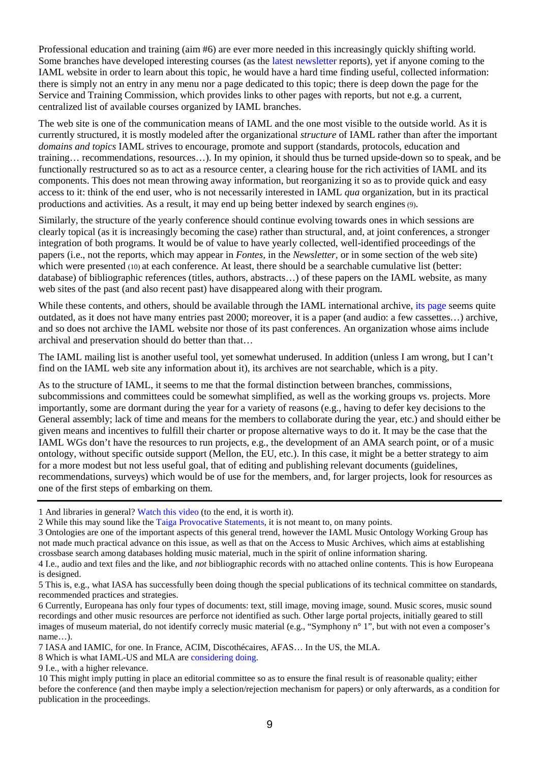Professional education and training (aim #6) are ever more needed in this increasingly quickly shifting world. Some branches have developed interesting courses (as the latest newsletter reports), yet if anyone coming to the IAML website in order to learn about this topic, he would have a hard time finding useful, collected information: there is simply not an entry in any menu nor a page dedicated to this topic; there is deep down the page for the Service and Training Commission, which provides links to other pages with reports, but not e.g. a current, centralized list of available courses organized by IAML branches.

The web site is one of the communication means of IAML and the one most visible to the outside world. As it is currently structured, it is mostly modeled after the organizational *structure* of IAML rather than after the important *domains and topics* IAML strives to encourage, promote and support (standards, protocols, education and training… recommendations, resources…). In my opinion, it should thus be turned upside-down so to speak, and be functionally restructured so as to act as a resource center, a clearing house for the rich activities of IAML and its components. This does not mean throwing away information, but reorganizing it so as to provide quick and easy access to it: think of the end user, who is not necessarily interested in IAML *qua* organization, but in its practical productions and activities. As a result, it may end up being better indexed by search engines (9).

Similarly, the structure of the yearly conference should continue evolving towards ones in which sessions are clearly topical (as it is increasingly becoming the case) rather than structural, and, at joint conferences, a stronger integration of both programs. It would be of value to have yearly collected, well-identified proceedings of the papers (i.e., not the reports, which may appear in *Fontes,* in the *Newsletter,* or in some section of the web site) which were presented (10) at each conference. At least, there should be a searchable cumulative list (better: database) of bibliographic references (titles, authors, abstracts…) of these papers on the IAML website, as many web sites of the past (and also recent past) have disappeared along with their program.

While these contents, and others, should be available through the IAML international archive, its page seems quite outdated, as it does not have many entries past 2000; moreover, it is a paper (and audio: a few cassettes…) archive, and so does not archive the IAML website nor those of its past conferences. An organization whose aims include archival and preservation should do better than that…

The IAML mailing list is another useful tool, yet somewhat underused. In addition (unless I am wrong, but I can't find on the IAML web site any information about it), its archives are not searchable, which is a pity.

As to the structure of IAML, it seems to me that the formal distinction between branches, commissions, subcommissions and committees could be somewhat simplified, as well as the working groups vs. projects. More importantly, some are dormant during the year for a variety of reasons (e.g., having to defer key decisions to the General assembly; lack of time and means for the members to collaborate during the year, etc.) and should either be given means and incentives to fulfill their charter or propose alternative ways to do it. It may be the case that the IAML WGs don't have the resources to run projects, e.g., the development of an AMA search point, or of a music ontology, without specific outside support (Mellon, the EU, etc.). In this case, it might be a better strategy to aim for a more modest but not less useful goal, that of editing and publishing relevant documents (guidelines, recommendations, surveys) which would be of use for the members, and, for larger projects, look for resources as one of the first steps of embarking on them.

1 And libraries in general? Watch this video (to the end, it is worth it).

3 Ontologies are one of the important aspects of this general trend, however the IAML Music Ontology Working Group has not made much practical advance on this issue, as well as that on the Access to Music Archives, which aims at establishing crossbase search among databases holding music material, much in the spirit of online information sharing.

<sup>2</sup> While this may sound like the Taiga Provocative Statements, it is not meant to, on many points.

<sup>4</sup> I.e., audio and text files and the like, and *not* bibliographic records with no attached online contents. This is how Europeana is designed.

<sup>5</sup> This is, e.g., what IASA has successfully been doing though the special publications of its technical committee on standards, recommended practices and strategies.

<sup>6</sup> Currently, Europeana has only four types of documents: text, still image, moving image, sound. Music scores, music sound recordings and other music resources are perforce not identified as such. Other large portal projects, initially geared to still images of museum material, do not identify correcly music material (e.g., "Symphony n° 1", but with not even a composer's name…).

<sup>7</sup> IASA and IAMIC, for one. In France, ACIM, Discothécaires, AFAS… In the US, the MLA.

<sup>8</sup> Which is what IAML-US and MLA are considering doing.

<sup>9</sup> I.e., with a higher relevance.

<sup>10</sup> This might imply putting in place an editorial committee so as to ensure the final result is of reasonable quality; either before the conference (and then maybe imply a selection/rejection mechanism for papers) or only afterwards, as a condition for publication in the proceedings.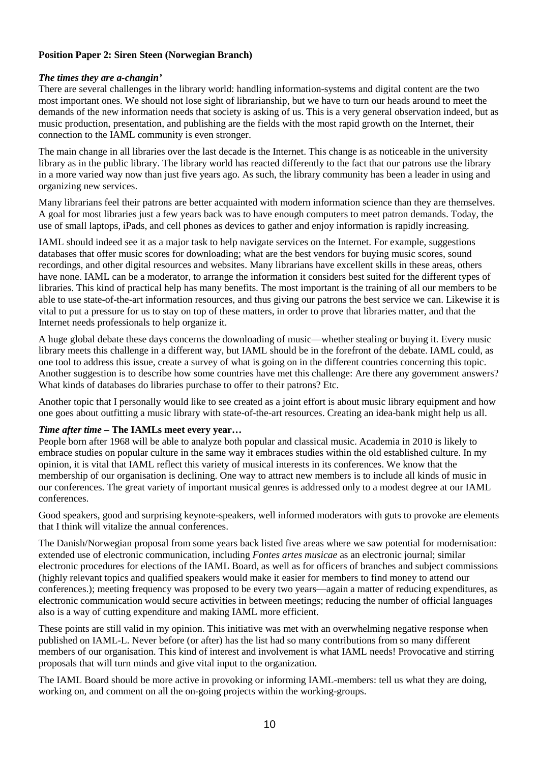## **Position Paper 2: Siren Steen (Norwegian Branch)**

### *The times they are a-changin'*

There are several challenges in the library world: handling information-systems and digital content are the two most important ones. We should not lose sight of librarianship, but we have to turn our heads around to meet the demands of the new information needs that society is asking of us. This is a very general observation indeed, but as music production, presentation, and publishing are the fields with the most rapid growth on the Internet, their connection to the IAML community is even stronger.

The main change in all libraries over the last decade is the Internet. This change is as noticeable in the university library as in the public library. The library world has reacted differently to the fact that our patrons use the library in a more varied way now than just five years ago. As such, the library community has been a leader in using and organizing new services.

Many librarians feel their patrons are better acquainted with modern information science than they are themselves. A goal for most libraries just a few years back was to have enough computers to meet patron demands. Today, the use of small laptops, iPads, and cell phones as devices to gather and enjoy information is rapidly increasing.

IAML should indeed see it as a major task to help navigate services on the Internet. For example, suggestions databases that offer music scores for downloading; what are the best vendors for buying music scores, sound recordings, and other digital resources and websites. Many librarians have excellent skills in these areas, others have none. IAML can be a moderator, to arrange the information it considers best suited for the different types of libraries. This kind of practical help has many benefits. The most important is the training of all our members to be able to use state-of-the-art information resources, and thus giving our patrons the best service we can. Likewise it is vital to put a pressure for us to stay on top of these matters, in order to prove that libraries matter, and that the Internet needs professionals to help organize it.

A huge global debate these days concerns the downloading of music—whether stealing or buying it. Every music library meets this challenge in a different way, but IAML should be in the forefront of the debate. IAML could, as one tool to address this issue, create a survey of what is going on in the different countries concerning this topic. Another suggestion is to describe how some countries have met this challenge: Are there any government answers? What kinds of databases do libraries purchase to offer to their patrons? Etc.

Another topic that I personally would like to see created as a joint effort is about music library equipment and how one goes about outfitting a music library with state-of-the-art resources. Creating an idea-bank might help us all.

### *Time after time* **– The IAMLs meet every year…**

People born after 1968 will be able to analyze both popular and classical music. Academia in 2010 is likely to embrace studies on popular culture in the same way it embraces studies within the old established culture. In my opinion, it is vital that IAML reflect this variety of musical interests in its conferences. We know that the membership of our organisation is declining. One way to attract new members is to include all kinds of music in our conferences. The great variety of important musical genres is addressed only to a modest degree at our IAML conferences.

Good speakers, good and surprising keynote-speakers, well informed moderators with guts to provoke are elements that I think will vitalize the annual conferences.

The Danish/Norwegian proposal from some years back listed five areas where we saw potential for modernisation: extended use of electronic communication, including *Fontes artes musicae* as an electronic journal; similar electronic procedures for elections of the IAML Board, as well as for officers of branches and subject commissions (highly relevant topics and qualified speakers would make it easier for members to find money to attend our conferences.); meeting frequency was proposed to be every two years—again a matter of reducing expenditures, as electronic communication would secure activities in between meetings; reducing the number of official languages also is a way of cutting expenditure and making IAML more efficient.

These points are still valid in my opinion. This initiative was met with an overwhelming negative response when published on IAML-L. Never before (or after) has the list had so many contributions from so many different members of our organisation. This kind of interest and involvement is what IAML needs! Provocative and stirring proposals that will turn minds and give vital input to the organization.

The IAML Board should be more active in provoking or informing IAML-members: tell us what they are doing, working on, and comment on all the on-going projects within the working-groups.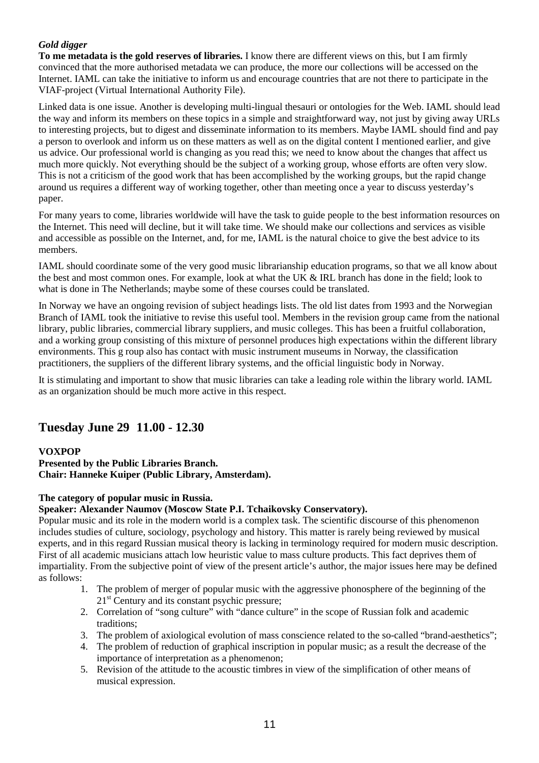## *Gold digger*

**To me metadata is the gold reserves of libraries.** I know there are different views on this, but I am firmly convinced that the more authorised metadata we can produce, the more our collections will be accessed on the Internet. IAML can take the initiative to inform us and encourage countries that are not there to participate in the VIAF-project (Virtual International Authority File).

Linked data is one issue. Another is developing multi-lingual thesauri or ontologies for the Web. IAML should lead the way and inform its members on these topics in a simple and straightforward way, not just by giving away URLs to interesting projects, but to digest and disseminate information to its members. Maybe IAML should find and pay a person to overlook and inform us on these matters as well as on the digital content I mentioned earlier, and give us advice. Our professional world is changing as you read this; we need to know about the changes that affect us much more quickly. Not everything should be the subject of a working group, whose efforts are often very slow. This is not a criticism of the good work that has been accomplished by the working groups, but the rapid change around us requires a different way of working together, other than meeting once a year to discuss yesterday's paper.

For many years to come, libraries worldwide will have the task to guide people to the best information resources on the Internet. This need will decline, but it will take time. We should make our collections and services as visible and accessible as possible on the Internet, and, for me, IAML is the natural choice to give the best advice to its members.

IAML should coordinate some of the very good music librarianship education programs, so that we all know about the best and most common ones. For example, look at what the UK & IRL branch has done in the field; look to what is done in The Netherlands; maybe some of these courses could be translated.

In Norway we have an ongoing revision of subject headings lists. The old list dates from 1993 and the Norwegian Branch of IAML took the initiative to revise this useful tool. Members in the revision group came from the national library, public libraries, commercial library suppliers, and music colleges. This has been a fruitful collaboration, and a working group consisting of this mixture of personnel produces high expectations within the different library environments. This g roup also has contact with music instrument museums in Norway, the classification practitioners, the suppliers of the different library systems, and the official linguistic body in Norway.

It is stimulating and important to show that music libraries can take a leading role within the library world. IAML as an organization should be much more active in this respect.

# **Tuesday June 29 11.00 - 12.30**

## **VOXPOP**

**Presented by the Public Libraries Branch. Chair: Hanneke Kuiper (Public Library, Amsterdam).** 

## **The category of popular music in Russia.**

## **Speaker: Alexander Naumov (Moscow State P.I. Tchaikovsky Conservatory).**

Popular music and its role in the modern world is a complex task. The scientific discourse of this phenomenon includes studies of culture, sociology, psychology and history. This matter is rarely being reviewed by musical experts, and in this regard Russian musical theory is lacking in terminology required for modern music description. First of all academic musicians attach low heuristic value to mass culture products. This fact deprives them of impartiality. From the subjective point of view of the present article's author, the major issues here may be defined as follows:

- 1. The problem of merger of popular music with the aggressive phonosphere of the beginning of the  $21<sup>st</sup>$  Century and its constant psychic pressure;
- 2. Correlation of "song culture" with "dance culture" in the scope of Russian folk and academic traditions;
- 3. The problem of axiological evolution of mass conscience related to the so-called "brand-aesthetics";
- 4. The problem of reduction of graphical inscription in popular music; as a result the decrease of the importance of interpretation as a phenomenon;
- 5. Revision of the attitude to the acoustic timbres in view of the simplification of other means of musical expression.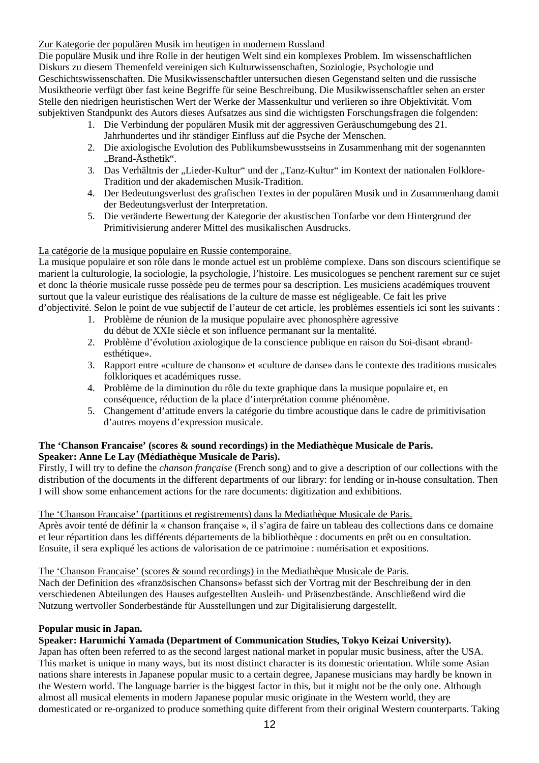## Zur Kategorie der populären Musik im heutigen in modernem Russland

Die populäre Musik und ihre Rolle in der heutigen Welt sind ein komplexes Problem. Im wissenschaftlichen Diskurs zu diesem Themenfeld vereinigen sich Kulturwissenschaften, Soziologie, Psychologie und Geschichtswissenschaften. Die Musikwissenschaftler untersuchen diesen Gegenstand selten und die russische Musiktheorie verfügt über fast keine Begriffe für seine Beschreibung. Die Musikwissenschaftler sehen an erster Stelle den niedrigen heuristischen Wert der Werke der Massenkultur und verlieren so ihre Objektivität. Vom subjektiven Standpunkt des Autors dieses Aufsatzes aus sind die wichtigsten Forschungsfragen die folgenden:

- 1. Die Verbindung der populären Musik mit der aggressiven Geräuschumgebung des 21. Jahrhundertes und ihr ständiger Einfluss auf die Psyche der Menschen.
- 2. Die axiologische Evolution des Publikumsbewusstseins in Zusammenhang mit der sogenannten "Brand-Ästhetik".
- 3. Das Verhältnis der "Lieder-Kultur" und der "Tanz-Kultur" im Kontext der nationalen Folklore-Tradition und der akademischen Musik-Tradition.
- 4. Der Bedeutungsverlust des grafischen Textes in der populären Musik und in Zusammenhang damit der Bedeutungsverlust der Interpretation.
- 5. Die veränderte Bewertung der Kategorie der akustischen Tonfarbe vor dem Hintergrund der Primitivisierung anderer Mittel des musikalischen Ausdrucks.

### La catégorie de la musique populaire en Russie contemporaine.

La musique populaire et son rôle dans le monde actuel est un problème complexe. Dans son discours scientifique se marient la culturologie, la sociologie, la psychologie, l'histoire. Les musicologues se penchent rarement sur ce sujet et donc la théorie musicale russe possède peu de termes pour sa description. Les musiciens académiques trouvent surtout que la valeur euristique des réalisations de la culture de masse est négligeable. Ce fait les prive d'objectivité. Selon le point de vue subjectif de l'auteur de cet article, les problèmes essentiels ici sont les suivants :

- 1. Problème de réunion de la musique populaire avec phonosphère agressive du début de XXIe siècle et son influence permanant sur la mentalité.
- 2. Problème d'évolution axiologique de la conscience publique en raison du Soi-disant «brandesthétique».
- 3. Rapport entre «culture de chanson» et «culture de danse» dans le contexte des traditions musicales folkloriques et académiques russe.
- 4. Problème de la diminution du rôle du texte graphique dans la musique populaire et, en conséquence, réduction de la place d'interprétation comme phénomène.
- 5. Changement d'attitude envers la catégorie du timbre acoustique dans le cadre de primitivisation d'autres moyens d'expression musicale.

### **The 'Chanson Francaise' (scores & sound recordings) in the Mediathèque Musicale de Paris. Speaker: Anne Le Lay (Médiathèque Musicale de Paris).**

Firstly, I will try to define the *chanson française* (French song) and to give a description of our collections with the distribution of the documents in the different departments of our library: for lending or in-house consultation. Then I will show some enhancement actions for the rare documents: digitization and exhibitions.

### The 'Chanson Francaise' (partitions et registrements) dans la Mediathèque Musicale de Paris.

Après avoir tenté de définir la « chanson française », il s'agira de faire un tableau des collections dans ce domaine et leur répartition dans les différents départements de la bibliothèque : documents en prêt ou en consultation. Ensuite, il sera expliqué les actions de valorisation de ce patrimoine : numérisation et expositions.

The 'Chanson Francaise' (scores & sound recordings) in the Mediathèque Musicale de Paris.

Nach der Definition des «französischen Chansons» befasst sich der Vortrag mit der Beschreibung der in den verschiedenen Abteilungen des Hauses aufgestellten Ausleih- und Präsenzbestände. Anschließend wird die Nutzung wertvoller Sonderbestände für Ausstellungen und zur Digitalisierung dargestellt.

### **Popular music in Japan.**

## **Speaker: Harumichi Yamada (Department of Communication Studies, Tokyo Keizai University).**

Japan has often been referred to as the second largest national market in popular music business, after the USA. This market is unique in many ways, but its most distinct character is its domestic orientation. While some Asian nations share interests in Japanese popular music to a certain degree, Japanese musicians may hardly be known in the Western world. The language barrier is the biggest factor in this, but it might not be the only one. Although almost all musical elements in modern Japanese popular music originate in the Western world, they are domesticated or re-organized to produce something quite different from their original Western counterparts. Taking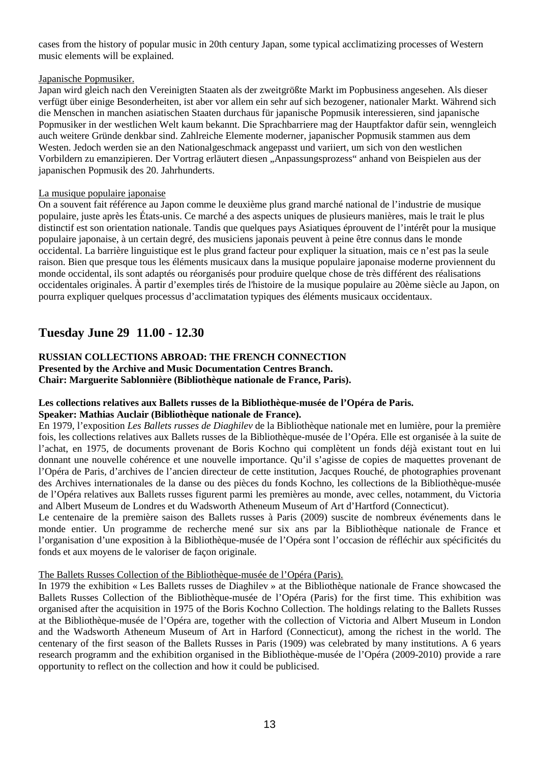cases from the history of popular music in 20th century Japan, some typical acclimatizing processes of Western music elements will be explained.

### Japanische Popmusiker.

Japan wird gleich nach den Vereinigten Staaten als der zweitgrößte Markt im Popbusiness angesehen. Als dieser verfügt über einige Besonderheiten, ist aber vor allem ein sehr auf sich bezogener, nationaler Markt. Während sich die Menschen in manchen asiatischen Staaten durchaus für japanische Popmusik interessieren, sind japanische Popmusiker in der westlichen Welt kaum bekannt. Die Sprachbarriere mag der Hauptfaktor dafür sein, wenngleich auch weitere Gründe denkbar sind. Zahlreiche Elemente moderner, japanischer Popmusik stammen aus dem Westen. Jedoch werden sie an den Nationalgeschmack angepasst und variiert, um sich von den westlichen Vorbildern zu emanzipieren. Der Vortrag erläutert diesen "Anpassungsprozess" anhand von Beispielen aus der japanischen Popmusik des 20. Jahrhunderts.

### La musique populaire japonaise

On a souvent fait référence au Japon comme le deuxième plus grand marché national de l'industrie de musique populaire, juste après les États-unis. Ce marché a des aspects uniques de plusieurs manières, mais le trait le plus distinctif est son orientation nationale. Tandis que quelques pays Asiatiques éprouvent de l'intérêt pour la musique populaire japonaise, à un certain degré, des musiciens japonais peuvent à peine être connus dans le monde occidental. La barrière linguistique est le plus grand facteur pour expliquer la situation, mais ce n'est pas la seule raison. Bien que presque tous les éléments musicaux dans la musique populaire japonaise moderne proviennent du monde occidental, ils sont adaptés ou réorganisés pour produire quelque chose de très différent des réalisations occidentales originales. À partir d'exemples tirés de l'histoire de la musique populaire au 20ème siècle au Japon, on pourra expliquer quelques processus d'acclimatation typiques des éléments musicaux occidentaux.

# **Tuesday June 29 11.00 - 12.30**

### **RUSSIAN COLLECTIONS ABROAD: THE FRENCH CONNECTION Presented by the Archive and Music Documentation Centres Branch. Chair: Marguerite Sablonnière (Bibliothèque nationale de France, Paris).**

#### **Les collections relatives aux Ballets russes de la Bibliothèque-musée de l'Opéra de Paris. Speaker: Mathias Auclair (Bibliothèque nationale de France).**

En 1979, l'exposition *Les Ballets russes de Diaghilev* de la Bibliothèque nationale met en lumière, pour la première fois, les collections relatives aux Ballets russes de la Bibliothèque-musée de l'Opéra. Elle est organisée à la suite de l'achat, en 1975, de documents provenant de Boris Kochno qui complètent un fonds déjà existant tout en lui donnant une nouvelle cohérence et une nouvelle importance. Qu'il s'agisse de copies de maquettes provenant de l'Opéra de Paris, d'archives de l'ancien directeur de cette institution, Jacques Rouché, de photographies provenant des Archives internationales de la danse ou des pièces du fonds Kochno, les collections de la Bibliothèque-musée de l'Opéra relatives aux Ballets russes figurent parmi les premières au monde, avec celles, notamment, du Victoria and Albert Museum de Londres et du Wadsworth Atheneum Museum of Art d'Hartford (Connecticut).

Le centenaire de la première saison des Ballets russes à Paris (2009) suscite de nombreux événements dans le monde entier. Un programme de recherche mené sur six ans par la Bibliothèque nationale de France et l'organisation d'une exposition à la Bibliothèque-musée de l'Opéra sont l'occasion de réfléchir aux spécificités du fonds et aux moyens de le valoriser de façon originale.

### The Ballets Russes Collection of the Bibliothèque-musée de l'Opéra (Paris).

In 1979 the exhibition « Les Ballets russes de Diaghilev » at the Bibliothèque nationale de France showcased the Ballets Russes Collection of the Bibliothèque-musée de l'Opéra (Paris) for the first time. This exhibition was organised after the acquisition in 1975 of the Boris Kochno Collection. The holdings relating to the Ballets Russes at the Bibliothèque-musée de l'Opéra are, together with the collection of Victoria and Albert Museum in London and the Wadsworth Atheneum Museum of Art in Harford (Connecticut), among the richest in the world. The centenary of the first season of the Ballets Russes in Paris (1909) was celebrated by many institutions. A 6 years research programm and the exhibition organised in the Bibliothèque-musée de l'Opéra (2009-2010) provide a rare opportunity to reflect on the collection and how it could be publicised.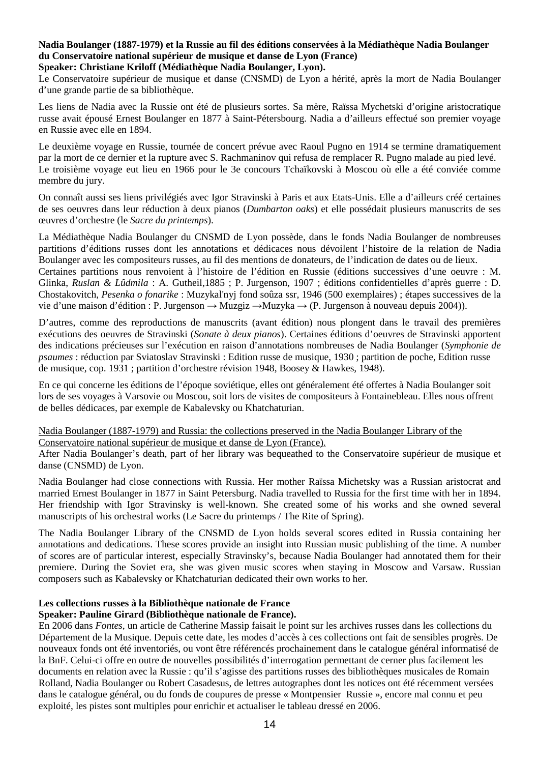# **Nadia Boulanger (1887-1979) et la Russie au fil des éditions conservées à la Médiathèque Nadia Boulanger du Conservatoire national supérieur de musique et danse de Lyon (France)**

## **Speaker: Christiane Kriloff (Médiathèque Nadia Boulanger, Lyon).**

Le Conservatoire supérieur de musique et danse (CNSMD) de Lyon a hérité, après la mort de Nadia Boulanger d'une grande partie de sa bibliothèque.

Les liens de Nadia avec la Russie ont été de plusieurs sortes. Sa mère, Raïssa Mychetski d'origine aristocratique russe avait épousé Ernest Boulanger en 1877 à Saint-Pétersbourg. Nadia a d'ailleurs effectué son premier voyage en Russie avec elle en 1894.

Le deuxième voyage en Russie, tournée de concert prévue avec Raoul Pugno en 1914 se termine dramatiquement par la mort de ce dernier et la rupture avec S. Rachmaninov qui refusa de remplacer R. Pugno malade au pied levé. Le troisième voyage eut lieu en 1966 pour le 3e concours Tchaïkovski à Moscou où elle a été conviée comme membre du jury.

On connaît aussi ses liens privilégiés avec Igor Stravinski à Paris et aux Etats-Unis. Elle a d'ailleurs créé certaines de ses oeuvres dans leur réduction à deux pianos (*Dumbarton oaks*) et elle possédait plusieurs manuscrits de ses œuvres d'orchestre (le *Sacre du printemps*).

La Médiathèque Nadia Boulanger du CNSMD de Lyon possède, dans le fonds Nadia Boulanger de nombreuses partitions d'éditions russes dont les annotations et dédicaces nous dévoilent l'histoire de la relation de Nadia Boulanger avec les compositeurs russes, au fil des mentions de donateurs, de l'indication de dates ou de lieux. Certaines partitions nous renvoient à l'histoire de l'édition en Russie (éditions successives d'une oeuvre : M. Glinka, *Ruslan & Lûdmila* : A. Gutheil,1885 ; P. Jurgenson, 1907 ; éditions confidentielles d'après guerre : D. Chostakovitch, *Pesenka o fonarike* : Muzykal'nyj fond soûza ssr, 1946 (500 exemplaires) ; étapes successives de la vie d'une maison d'édition : P. Jurgenson → Muzgiz → Muzyka → (P. Jurgenson à nouveau depuis 2004)).

D'autres, comme des reproductions de manuscrits (avant édition) nous plongent dans le travail des premières exécutions des oeuvres de Stravinski (*Sonate à deux pianos*). Certaines éditions d'oeuvres de Stravinski apportent des indications précieuses sur l'exécution en raison d'annotations nombreuses de Nadia Boulanger (*Symphonie de psaumes* : réduction par Sviatoslav Stravinski : Edition russe de musique, 1930 ; partition de poche, Edition russe de musique, cop. 1931 ; partition d'orchestre révision 1948, Boosey & Hawkes, 1948).

En ce qui concerne les éditions de l'époque soviétique, elles ont généralement été offertes à Nadia Boulanger soit lors de ses voyages à Varsovie ou Moscou, soit lors de visites de compositeurs à Fontainebleau. Elles nous offrent de belles dédicaces, par exemple de Kabalevsky ou Khatchaturian.

### Nadia Boulanger (1887-1979) and Russia: the collections preserved in the Nadia Boulanger Library of the Conservatoire national supérieur de musique et danse de Lyon (France).

After Nadia Boulanger's death, part of her library was bequeathed to the Conservatoire supérieur de musique et danse (CNSMD) de Lyon.

Nadia Boulanger had close connections with Russia. Her mother Raïssa Michetsky was a Russian aristocrat and married Ernest Boulanger in 1877 in Saint Petersburg. Nadia travelled to Russia for the first time with her in 1894. Her friendship with Igor Stravinsky is well-known. She created some of his works and she owned several manuscripts of his orchestral works (Le Sacre du printemps / The Rite of Spring).

The Nadia Boulanger Library of the CNSMD de Lyon holds several scores edited in Russia containing her annotations and dedications. These scores provide an insight into Russian music publishing of the time. A number of scores are of particular interest, especially Stravinsky's, because Nadia Boulanger had annotated them for their premiere. During the Soviet era, she was given music scores when staying in Moscow and Varsaw. Russian composers such as Kabalevsky or Khatchaturian dedicated their own works to her.

# **Les collections russes à la Bibliothèque nationale de France**

## **Speaker: Pauline Girard (Bibliothèque nationale de France).**

En 2006 dans *Fontes*, un article de Catherine Massip faisait le point sur les archives russes dans les collections du Département de la Musique. Depuis cette date, les modes d'accès à ces collections ont fait de sensibles progrès. De nouveaux fonds ont été inventoriés, ou vont être référencés prochainement dans le catalogue général informatisé de la BnF. Celui-ci offre en outre de nouvelles possibilités d'interrogation permettant de cerner plus facilement les documents en relation avec la Russie : qu'il s'agisse des partitions russes des bibliothèques musicales de Romain Rolland, Nadia Boulanger ou Robert Casadesus, de lettres autographes dont les notices ont été récemment versées dans le catalogue général, ou du fonds de coupures de presse « Montpensier Russie », encore mal connu et peu exploité, les pistes sont multiples pour enrichir et actualiser le tableau dressé en 2006.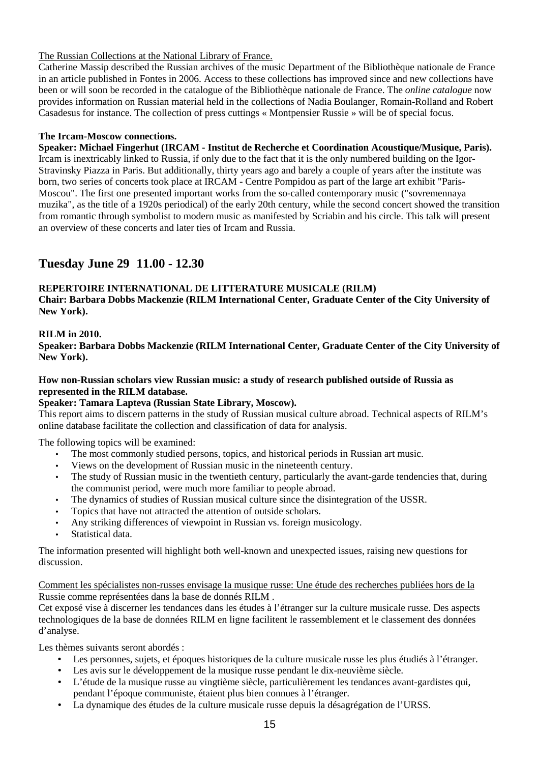## The Russian Collections at the National Library of France.

Catherine Massip described the Russian archives of the music Department of the Bibliothèque nationale de France in an article published in Fontes in 2006. Access to these collections has improved since and new collections have been or will soon be recorded in the catalogue of the Bibliothèque nationale de France. The *online catalogue* now provides information on Russian material held in the collections of Nadia Boulanger, Romain-Rolland and Robert Casadesus for instance. The collection of press cuttings « Montpensier Russie » will be of special focus.

## **The Ircam-Moscow connections.**

**Speaker: Michael Fingerhut (IRCAM - Institut de Recherche et Coordination Acoustique/Musique, Paris).**  Ircam is inextricably linked to Russia, if only due to the fact that it is the only numbered building on the Igor-Stravinsky Piazza in Paris. But additionally, thirty years ago and barely a couple of years after the institute was born, two series of concerts took place at IRCAM - Centre Pompidou as part of the large art exhibit "Paris-Moscou". The first one presented important works from the so-called contemporary music ("sovremennaya muzika", as the title of a 1920s periodical) of the early 20th century, while the second concert showed the transition from romantic through symbolist to modern music as manifested by Scriabin and his circle. This talk will present an overview of these concerts and later ties of Ircam and Russia.

# **Tuesday June 29 11.00 - 12.30**

# **REPERTOIRE INTERNATIONAL DE LITTERATURE MUSICALE (RILM)**

**Chair: Barbara Dobbs Mackenzie (RILM International Center, Graduate Center of the City University of New York).** 

# **RILM in 2010.**

**Speaker: Barbara Dobbs Mackenzie (RILM International Center, Graduate Center of the City University of New York).** 

### **How non-Russian scholars view Russian music: a study of research published outside of Russia as represented in the RILM database.**

## **Speaker: Tamara Lapteva (Russian State Library, Moscow).**

This report aims to discern patterns in the study of Russian musical culture abroad. Technical aspects of RILM's online database facilitate the collection and classification of data for analysis.

The following topics will be examined:

- The most commonly studied persons, topics, and historical periods in Russian art music.
- Views on the development of Russian music in the nineteenth century.
- The study of Russian music in the twentieth century, particularly the avant-garde tendencies that, during the communist period, were much more familiar to people abroad.
- The dynamics of studies of Russian musical culture since the disintegration of the USSR.
- Topics that have not attracted the attention of outside scholars.
- Any striking differences of viewpoint in Russian vs. foreign musicology.
- Statistical data.

The information presented will highlight both well-known and unexpected issues, raising new questions for discussion.

### Comment les spécialistes non-russes envisage la musique russe: Une étude des recherches publiées hors de la Russie comme représentées dans la base de donnés RILM .

Cet exposé vise à discerner les tendances dans les études à l'étranger sur la culture musicale russe. Des aspects technologiques de la base de données RILM en ligne facilitent le rassemblement et le classement des données d'analyse.

Les thèmes suivants seront abordés :

- Les personnes, sujets, et époques historiques de la culture musicale russe les plus étudiés à l'étranger.
- Les avis sur le développement de la musique russe pendant le dix-neuvième siècle.
- L'étude de la musique russe au vingtième siècle, particulièrement les tendances avant-gardistes qui, pendant l'époque communiste, étaient plus bien connues à l'étranger.
- La dynamique des études de la culture musicale russe depuis la désagrégation de l'URSS.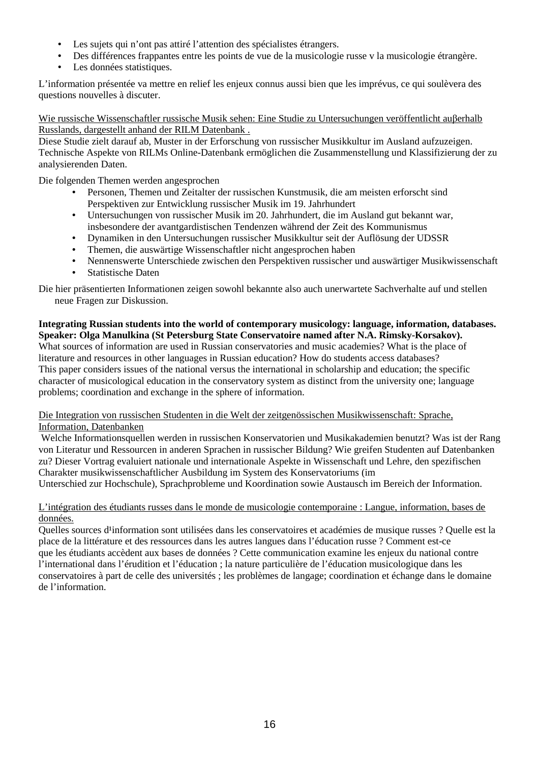- Les sujets qui n'ont pas attiré l'attention des spécialistes étrangers.
- Des différences frappantes entre les points de vue de la musicologie russe v la musicologie étrangère.
- Les données statistiques.

L'information présentée va mettre en relief les enjeux connus aussi bien que les imprévus, ce qui soulèvera des questions nouvelles à discuter.

Wie russische Wissenschaftler russische Musik sehen: Eine Studie zu Untersuchungen veröffentlicht auβerhalb Russlands, dargestellt anhand der RILM Datenbank .

Diese Studie zielt darauf ab, Muster in der Erforschung von russischer Musikkultur im Ausland aufzuzeigen. Technische Aspekte von RILMs Online-Datenbank ermöglichen die Zusammenstellung und Klassifizierung der zu analysierenden Daten.

Die folgenden Themen werden angesprochen

- Personen, Themen und Zeitalter der russischen Kunstmusik, die am meisten erforscht sind Perspektiven zur Entwicklung russischer Musik im 19. Jahrhundert
- Untersuchungen von russischer Musik im 20. Jahrhundert, die im Ausland gut bekannt war, insbesondere der avantgardistischen Tendenzen während der Zeit des Kommunismus
- Dynamiken in den Untersuchungen russischer Musikkultur seit der Auflösung der UDSSR
- Themen, die auswärtige Wissenschaftler nicht angesprochen haben
- Nennenswerte Unterschiede zwischen den Perspektiven russischer und auswärtiger Musikwissenschaft
- Statistische Daten

Die hier präsentierten Informationen zeigen sowohl bekannte also auch unerwartete Sachverhalte auf und stellen neue Fragen zur Diskussion.

**Integrating Russian students into the world of contemporary musicology: language, information, databases. Speaker: Olga Manulkina (St Petersburg State Conservatoire named after N.A. Rimsky-Korsakov).** What sources of information are used in Russian conservatories and music academies? What is the place of literature and resources in other languages in Russian education? How do students access databases? This paper considers issues of the national versus the international in scholarship and education; the specific character of musicological education in the conservatory system as distinct from the university one; language problems; coordination and exchange in the sphere of information.

Die Integration von russischen Studenten in die Welt der zeitgenössischen Musikwissenschaft: Sprache, Information, Datenbanken

 Welche Informationsquellen werden in russischen Konservatorien und Musikakademien benutzt? Was ist der Rang von Literatur und Ressourcen in anderen Sprachen in russischer Bildung? Wie greifen Studenten auf Datenbanken zu? Dieser Vortrag evaluiert nationale und internationale Aspekte in Wissenschaft und Lehre, den spezifischen Charakter musikwissenschaftlicher Ausbildung im System des Konservatoriums (im

Unterschied zur Hochschule), Sprachprobleme und Koordination sowie Austausch im Bereich der Information.

### L'intégration des étudiants russes dans le monde de musicologie contemporaine : Langue, information, bases de données.

Quelles sources d'information sont utilisées dans les conservatoires et académies de musique russes ? Quelle est la place de la littérature et des ressources dans les autres langues dans l'éducation russe ? Comment est-ce que les étudiants accèdent aux bases de données ? Cette communication examine les enjeux du national contre l'international dans l'érudition et l'éducation ; la nature particulière de l'éducation musicologique dans les conservatoires à part de celle des universités ; les problèmes de langage; coordination et échange dans le domaine de l'information.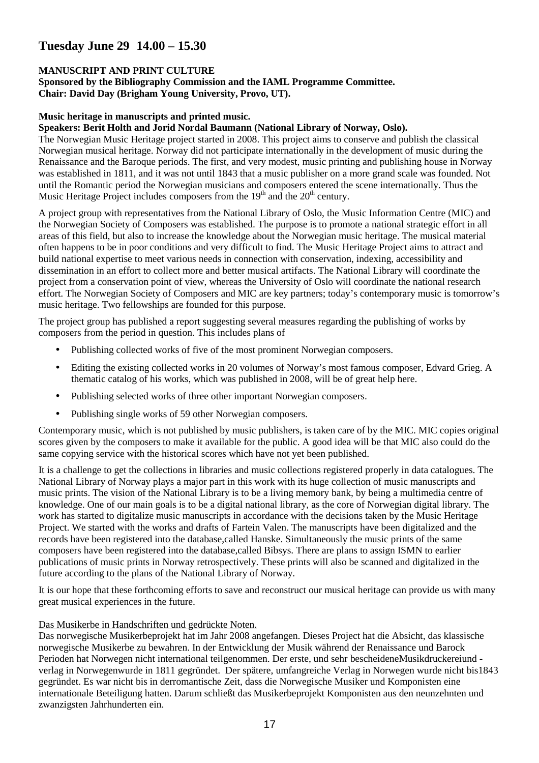# **Tuesday June 29 14.00 – 15.30**

## **MANUSCRIPT AND PRINT CULTURE**

**Sponsored by the Bibliography Commission and the IAML Programme Committee. Chair: David Day (Brigham Young University, Provo, UT).** 

### **Music heritage in manuscripts and printed music.**

### **Speakers: Berit Holth and Jorid Nordal Baumann (National Library of Norway, Oslo).**

The Norwegian Music Heritage project started in 2008. This project aims to conserve and publish the classical Norwegian musical heritage. Norway did not participate internationally in the development of music during the Renaissance and the Baroque periods. The first, and very modest, music printing and publishing house in Norway was established in 1811, and it was not until 1843 that a music publisher on a more grand scale was founded. Not until the Romantic period the Norwegian musicians and composers entered the scene internationally. Thus the Music Heritage Project includes composers from the  $19<sup>th</sup>$  and the  $20<sup>th</sup>$  century.

A project group with representatives from the National Library of Oslo, the Music Information Centre (MIC) and the Norwegian Society of Composers was established. The purpose is to promote a national strategic effort in all areas of this field, but also to increase the knowledge about the Norwegian music heritage. The musical material often happens to be in poor conditions and very difficult to find. The Music Heritage Project aims to attract and build national expertise to meet various needs in connection with conservation, indexing, accessibility and dissemination in an effort to collect more and better musical artifacts. The National Library will coordinate the project from a conservation point of view, whereas the University of Oslo will coordinate the national research effort. The Norwegian Society of Composers and MIC are key partners; today's contemporary music is tomorrow's music heritage. Two fellowships are founded for this purpose.

The project group has published a report suggesting several measures regarding the publishing of works by composers from the period in question. This includes plans of

- Publishing collected works of five of the most prominent Norwegian composers.
- Editing the existing collected works in 20 volumes of Norway's most famous composer, Edvard Grieg. A thematic catalog of his works, which was published in 2008, will be of great help here.
- Publishing selected works of three other important Norwegian composers.
- Publishing single works of 59 other Norwegian composers.

Contemporary music, which is not published by music publishers, is taken care of by the MIC. MIC copies original scores given by the composers to make it available for the public. A good idea will be that MIC also could do the same copying service with the historical scores which have not yet been published.

It is a challenge to get the collections in libraries and music collections registered properly in data catalogues. The National Library of Norway plays a major part in this work with its huge collection of music manuscripts and music prints. The vision of the National Library is to be a living memory bank, by being a multimedia centre of knowledge. One of our main goals is to be a digital national library, as the core of Norwegian digital library. The work has started to digitalize music manuscripts in accordance with the decisions taken by the Music Heritage Project. We started with the works and drafts of Fartein Valen. The manuscripts have been digitalized and the records have been registered into the database,called Hanske. Simultaneously the music prints of the same composers have been registered into the database,called Bibsys. There are plans to assign ISMN to earlier publications of music prints in Norway retrospectively. These prints will also be scanned and digitalized in the future according to the plans of the National Library of Norway.

It is our hope that these forthcoming efforts to save and reconstruct our musical heritage can provide us with many great musical experiences in the future.

### Das Musikerbe in Handschriften und gedrückte Noten.

Das norwegische Musikerbeprojekt hat im Jahr 2008 angefangen. Dieses Project hat die Absicht, das klassische norwegische Musikerbe zu bewahren. In der Entwicklung der Musik während der Renaissance und Barock Perioden hat Norwegen nicht international teilgenommen. Der erste, und sehr bescheideneMusikdruckereiund verlag in Norwegenwurde in 1811 gegründet. Der spätere, umfangreiche Verlag in Norwegen wurde nicht bis1843 gegründet. Es war nicht bis in derromantische Zeit, dass die Norwegische Musiker und Komponisten eine internationale Beteiligung hatten. Darum schließt das Musikerbeprojekt Komponisten aus den neunzehnten und zwanzigsten Jahrhunderten ein.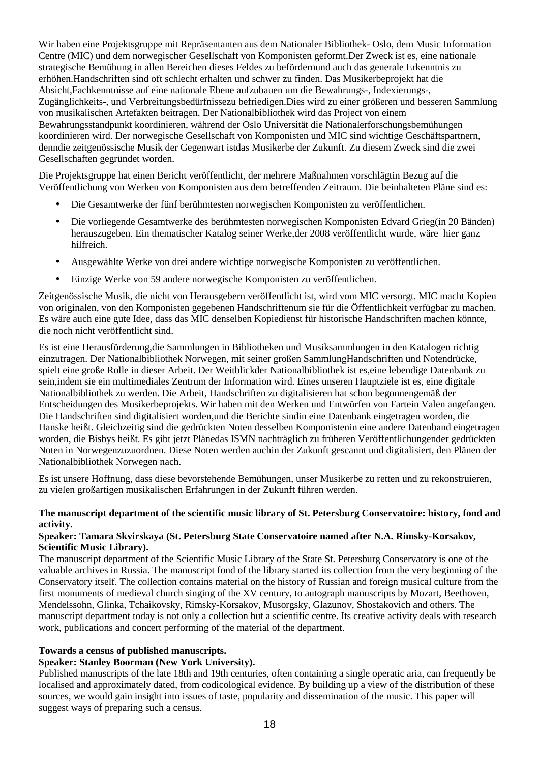Wir haben eine Projektsgruppe mit Repräsentanten aus dem Nationaler Bibliothek- Oslo, dem Music Information Centre (MIC) und dem norwegischer Gesellschaft von Komponisten geformt.Der Zweck ist es, eine nationale strategische Bemühung in allen Bereichen dieses Feldes zu befördernund auch das generale Erkenntnis zu erhöhen.Handschriften sind oft schlecht erhalten und schwer zu finden. Das Musikerbeprojekt hat die Absicht,Fachkenntnisse auf eine nationale Ebene aufzubauen um die Bewahrungs-, Indexierungs-, Zugänglichkeits-, und Verbreitungsbedürfnissezu befriedigen.Dies wird zu einer größeren und besseren Sammlung von musikalischen Artefakten beitragen. Der Nationalbibliothek wird das Project von einem Bewahrungsstandpunkt koordinieren, während der Oslo Universität die Nationalerforschungsbemühungen koordinieren wird. Der norwegische Gesellschaft von Komponisten und MIC sind wichtige Geschäftspartnern, denndie zeitgenössische Musik der Gegenwart istdas Musikerbe der Zukunft. Zu diesem Zweck sind die zwei Gesellschaften gegründet worden.

Die Projektsgruppe hat einen Bericht veröffentlicht, der mehrere Maßnahmen vorschlägtin Bezug auf die Veröffentlichung von Werken von Komponisten aus dem betreffenden Zeitraum. Die beinhalteten Pläne sind es:

- Die Gesamtwerke der fünf berühmtesten norwegischen Komponisten zu veröffentlichen.
- Die vorliegende Gesamtwerke des berühmtesten norwegischen Komponisten Edvard Grieg(in 20 Bänden) herauszugeben. Ein thematischer Katalog seiner Werke,der 2008 veröffentlicht wurde, wäre hier ganz hilfreich.
- Ausgewählte Werke von drei andere wichtige norwegische Komponisten zu veröffentlichen.
- Einzige Werke von 59 andere norwegische Komponisten zu veröffentlichen.

Zeitgenössische Musik, die nicht von Herausgebern veröffentlicht ist, wird vom MIC versorgt. MIC macht Kopien von originalen, von den Komponisten gegebenen Handschriftenum sie für die Öffentlichkeit verfügbar zu machen. Es wäre auch eine gute Idee, dass das MIC denselben Kopiedienst für historische Handschriften machen könnte, die noch nicht veröffentlicht sind.

Es ist eine Herausförderung,die Sammlungen in Bibliotheken und Musiksammlungen in den Katalogen richtig einzutragen. Der Nationalbibliothek Norwegen, mit seiner großen SammlungHandschriften und Notendrücke, spielt eine große Rolle in dieser Arbeit. Der Weitblickder Nationalbibliothek ist es,eine lebendige Datenbank zu sein,indem sie ein multimediales Zentrum der Information wird. Eines unseren Hauptziele ist es, eine digitale Nationalbibliothek zu werden. Die Arbeit, Handschriften zu digitalisieren hat schon begonnengemäß der Entscheidungen des Musikerbeprojekts. Wir haben mit den Werken und Entwürfen von Fartein Valen angefangen. Die Handschriften sind digitalisiert worden,und die Berichte sindin eine Datenbank eingetragen worden, die Hanske heißt. Gleichzeitig sind die gedrückten Noten desselben Komponistenin eine andere Datenband eingetragen worden, die Bisbys heißt. Es gibt jetzt Plänedas ISMN nachträglich zu früheren Veröffentlichungender gedrückten Noten in Norwegenzuzuordnen. Diese Noten werden auchin der Zukunft gescannt und digitalisiert, den Plänen der Nationalbibliothek Norwegen nach.

Es ist unsere Hoffnung, dass diese bevorstehende Bemühungen, unser Musikerbe zu retten und zu rekonstruieren, zu vielen großartigen musikalischen Erfahrungen in der Zukunft führen werden.

### **The manuscript department of the scientific music library of St. Petersburg Conservatoire: history, fond and activity.**

### **Speaker: Tamara Skvirskaya (St. Petersburg State Conservatoire named after N.A. Rimsky-Korsakov, Scientific Music Library).**

The manuscript department of the Scientific Music Library of the State St. Petersburg Conservatory is one of the valuable archives in Russia. The manuscript fond of the library started its collection from the very beginning of the Conservatory itself. The collection contains material on the history of Russian and foreign musical culture from the first monuments of medieval church singing of the XV century, to autograph manuscripts by Mozart, Beethoven, Mendelssohn, Glinka, Tchaikovsky, Rimsky-Korsakov, Musorgsky, Glazunov, Shostakovich and others. The manuscript department today is not only a collection but a scientific centre. Its creative activity deals with research work, publications and concert performing of the material of the department.

## **Towards a census of published manuscripts.**

### **Speaker: Stanley Boorman (New York University).**

Published manuscripts of the late 18th and 19th centuries, often containing a single operatic aria, can frequently be localised and approximately dated, from codicological evidence. By building up a view of the distribution of these sources, we would gain insight into issues of taste, popularity and dissemination of the music. This paper will suggest ways of preparing such a census.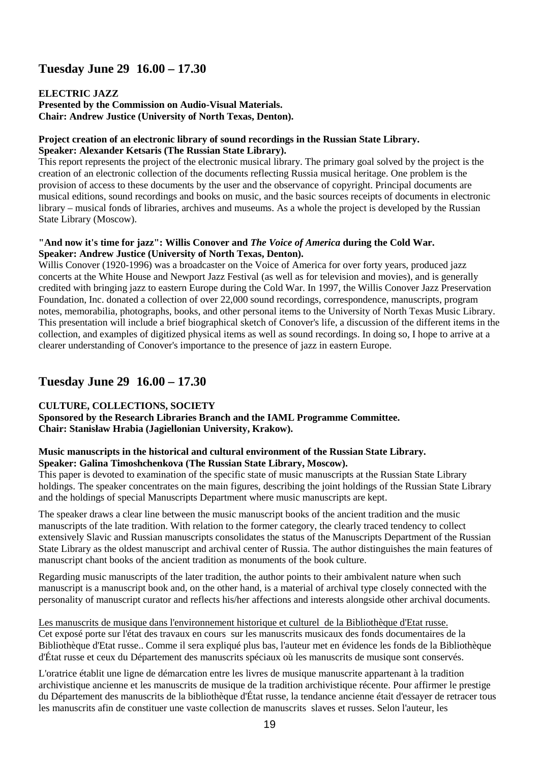# **Tuesday June 29 16.00 – 17.30**

## **ELECTRIC JAZZ**

**Presented by the Commission on Audio-Visual Materials. Chair: Andrew Justice (University of North Texas, Denton).** 

### **Project creation of an electronic library of sound recordings in the Russian State Library. Speaker: Alexander Ketsaris (The Russian State Library).**

This report represents the project of the electronic musical library. The primary goal solved by the project is the creation of an electronic collection of the documents reflecting Russia musical heritage. One problem is the provision of access to these documents by the user and the observance of copyright. Principal documents are musical editions, sound recordings and books on music, and the basic sources receipts of documents in electronic library – musical fonds of libraries, archives and museums. As a whole the project is developed by the Russian State Library (Moscow).

### **"And now it's time for jazz": Willis Conover and** *The Voice of America* **during the Cold War. Speaker: Andrew Justice (University of North Texas, Denton).**

Willis Conover (1920-1996) was a broadcaster on the Voice of America for over forty years, produced jazz concerts at the White House and Newport Jazz Festival (as well as for television and movies), and is generally credited with bringing jazz to eastern Europe during the Cold War. In 1997, the Willis Conover Jazz Preservation Foundation, Inc. donated a collection of over 22,000 sound recordings, correspondence, manuscripts, program notes, memorabilia, photographs, books, and other personal items to the University of North Texas Music Library. This presentation will include a brief biographical sketch of Conover's life, a discussion of the different items in the collection, and examples of digitized physical items as well as sound recordings. In doing so, I hope to arrive at a clearer understanding of Conover's importance to the presence of jazz in eastern Europe.

# **Tuesday June 29 16.00 – 17.30**

# **CULTURE, COLLECTIONS, SOCIETY**

**Sponsored by the Research Libraries Branch and the IAML Programme Committee. Chair: Stanisław Hrabia (Jagiellonian University, Krakow).** 

## **Music manuscripts in the historical and cultural environment of the Russian State Library. Speaker: Galina Timoshchenkova (The Russian State Library, Moscow).**

This paper is devoted to examination of the specific state of music manuscripts at the Russian State Library holdings. The speaker concentrates on the main figures, describing the joint holdings of the Russian State Library and the holdings of special Manuscripts Department where music manuscripts are kept.

The speaker draws a clear line between the music manuscript books of the ancient tradition and the music manuscripts of the late tradition. With relation to the former category, the clearly traced tendency to collect extensively Slavic and Russian manuscripts consolidates the status of the Manuscripts Department of the Russian State Library as the oldest manuscript and archival center of Russia. The author distinguishes the main features of manuscript chant books of the ancient tradition as monuments of the book culture.

Regarding music manuscripts of the later tradition, the author points to their ambivalent nature when such manuscript is a manuscript book and, on the other hand, is a material of archival type closely connected with the personality of manuscript curator and reflects his/her affections and interests alongside other archival documents.

Les manuscrits de musique dans l'environnement historique et culturel de la Bibliothèque d'Etat russe. Cet exposé porte sur l'état des travaux en cours sur les manuscrits musicaux des fonds documentaires de la Bibliothèque d'Etat russe.. Comme il sera expliqué plus bas, l'auteur met en évidence les fonds de la Bibliothèque d'État russe et ceux du Département des manuscrits spéciaux où les manuscrits de musique sont conservés.

L'oratrice établit une ligne de démarcation entre les livres de musique manuscrite appartenant à la tradition archivistique ancienne et les manuscrits de musique de la tradition archivistique récente. Pour affirmer le prestige du Département des manuscrits de la bibliothèque d'État russe, la tendance ancienne était d'essayer de retracer tous les manuscrits afin de constituer une vaste collection de manuscrits slaves et russes. Selon l'auteur, les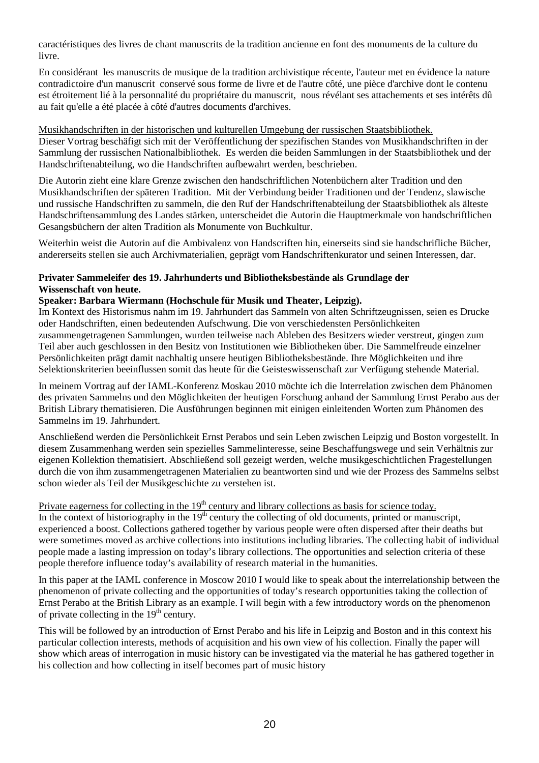caractéristiques des livres de chant manuscrits de la tradition ancienne en font des monuments de la culture du livre.

En considérant les manuscrits de musique de la tradition archivistique récente, l'auteur met en évidence la nature contradictoire d'un manuscrit conservé sous forme de livre et de l'autre côté, une pièce d'archive dont le contenu est étroitement lié à la personnalité du propriétaire du manuscrit, nous révélant ses attachements et ses intérêts dû au fait qu'elle a été placée à côté d'autres documents d'archives.

Musikhandschriften in der historischen und kulturellen Umgebung der russischen Staatsbibliothek. Dieser Vortrag beschäfigt sich mit der Veröffentlichung der spezifischen Standes von Musikhandschriften in der Sammlung der russischen Nationalbibliothek. Es werden die beiden Sammlungen in der Staatsbibliothek und der Handschriftenabteilung, wo die Handschriften aufbewahrt werden, beschrieben.

Die Autorin zieht eine klare Grenze zwischen den handschriftlichen Notenbüchern alter Tradition und den Musikhandschriften der späteren Tradition. Mit der Verbindung beider Traditionen und der Tendenz, slawische und russische Handschriften zu sammeln, die den Ruf der Handschriftenabteilung der Staatsbibliothek als älteste Handschriftensammlung des Landes stärken, unterscheidet die Autorin die Hauptmerkmale von handschriftlichen Gesangsbüchern der alten Tradition als Monumente von Buchkultur.

Weiterhin weist die Autorin auf die Ambivalenz von Handscriften hin, einerseits sind sie handschrifliche Bücher, andererseits stellen sie auch Archivmaterialien, geprägt vom Handschriftenkurator und seinen Interessen, dar.

## **Privater Sammeleifer des 19. Jahrhunderts und Bibliotheksbestände als Grundlage der Wissenschaft von heute.**

## **Speaker: Barbara Wiermann (Hochschule für Musik und Theater, Leipzig).**

Im Kontext des Historismus nahm im 19. Jahrhundert das Sammeln von alten Schriftzeugnissen, seien es Drucke oder Handschriften, einen bedeutenden Aufschwung. Die von verschiedensten Persönlichkeiten zusammengetragenen Sammlungen, wurden teilweise nach Ableben des Besitzers wieder verstreut, gingen zum Teil aber auch geschlossen in den Besitz von Institutionen wie Bibliotheken über. Die Sammelfreude einzelner Persönlichkeiten prägt damit nachhaltig unsere heutigen Bibliotheksbestände. Ihre Möglichkeiten und ihre Selektionskriterien beeinflussen somit das heute für die Geisteswissenschaft zur Verfügung stehende Material.

In meinem Vortrag auf der IAML-Konferenz Moskau 2010 möchte ich die Interrelation zwischen dem Phänomen des privaten Sammelns und den Möglichkeiten der heutigen Forschung anhand der Sammlung Ernst Perabo aus der British Library thematisieren. Die Ausführungen beginnen mit einigen einleitenden Worten zum Phänomen des Sammelns im 19. Jahrhundert.

Anschließend werden die Persönlichkeit Ernst Perabos und sein Leben zwischen Leipzig und Boston vorgestellt. In diesem Zusammenhang werden sein spezielles Sammelinteresse, seine Beschaffungswege und sein Verhältnis zur eigenen Kollektion thematisiert. Abschließend soll gezeigt werden, welche musikgeschichtlichen Fragestellungen durch die von ihm zusammengetragenen Materialien zu beantworten sind und wie der Prozess des Sammelns selbst schon wieder als Teil der Musikgeschichte zu verstehen ist.

Private eagerness for collecting in the 19<sup>th</sup> century and library collections as basis for science today. In the context of historiography in the  $19<sup>th</sup>$  century the collecting of old documents, printed or manuscript, experienced a boost. Collections gathered together by various people were often dispersed after their deaths but were sometimes moved as archive collections into institutions including libraries. The collecting habit of individual people made a lasting impression on today's library collections. The opportunities and selection criteria of these people therefore influence today's availability of research material in the humanities.

In this paper at the IAML conference in Moscow 2010 I would like to speak about the interrelationship between the phenomenon of private collecting and the opportunities of today's research opportunities taking the collection of Ernst Perabo at the British Library as an example. I will begin with a few introductory words on the phenomenon of private collecting in the  $19<sup>th</sup>$  century.

This will be followed by an introduction of Ernst Perabo and his life in Leipzig and Boston and in this context his particular collection interests, methods of acquisition and his own view of his collection. Finally the paper will show which areas of interrogation in music history can be investigated via the material he has gathered together in his collection and how collecting in itself becomes part of music history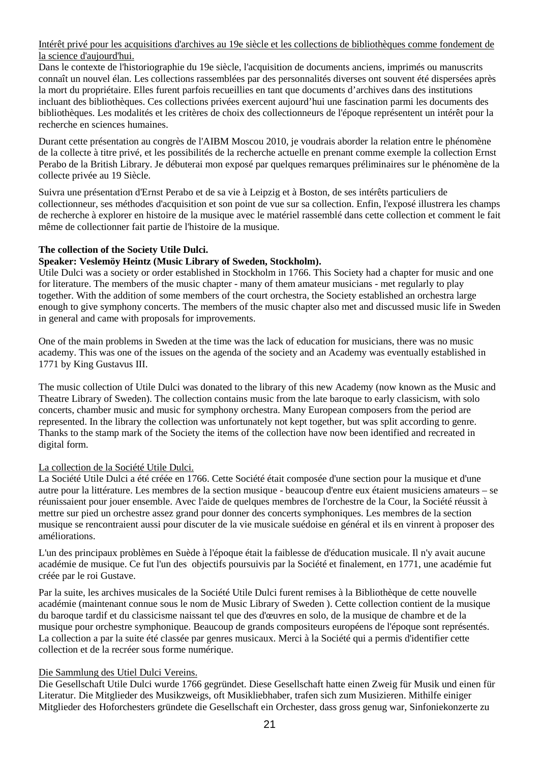Intérêt privé pour les acquisitions d'archives au 19e siècle et les collections de bibliothèques comme fondement de la science d'aujourd'hui.

Dans le contexte de l'historiographie du 19e siècle, l'acquisition de documents anciens, imprimés ou manuscrits connaît un nouvel élan. Les collections rassemblées par des personnalités diverses ont souvent été dispersées après la mort du propriétaire. Elles furent parfois recueillies en tant que documents d'archives dans des institutions incluant des bibliothèques. Ces collections privées exercent aujourd'hui une fascination parmi les documents des bibliothèques. Les modalités et les critères de choix des collectionneurs de l'époque représentent un intérêt pour la recherche en sciences humaines.

Durant cette présentation au congrès de l'AIBM Moscou 2010, je voudrais aborder la relation entre le phénomène de la collecte à titre privé, et les possibilités de la recherche actuelle en prenant comme exemple la collection Ernst Perabo de la British Library. Je débuterai mon exposé par quelques remarques préliminaires sur le phénomène de la collecte privée au 19 Siècle.

Suivra une présentation d'Ernst Perabo et de sa vie à Leipzig et à Boston, de ses intérêts particuliers de collectionneur, ses méthodes d'acquisition et son point de vue sur sa collection. Enfin, l'exposé illustrera les champs de recherche à explorer en histoire de la musique avec le matériel rassemblé dans cette collection et comment le fait même de collectionner fait partie de l'histoire de la musique.

### **The collection of the Society Utile Dulci.**

### **Speaker: Veslemöy Heintz (Music Library of Sweden, Stockholm).**

Utile Dulci was a society or order established in Stockholm in 1766. This Society had a chapter for music and one for literature. The members of the music chapter - many of them amateur musicians - met regularly to play together. With the addition of some members of the court orchestra, the Society established an orchestra large enough to give symphony concerts. The members of the music chapter also met and discussed music life in Sweden in general and came with proposals for improvements.

One of the main problems in Sweden at the time was the lack of education for musicians, there was no music academy. This was one of the issues on the agenda of the society and an Academy was eventually established in 1771 by King Gustavus III.

The music collection of Utile Dulci was donated to the library of this new Academy (now known as the Music and Theatre Library of Sweden). The collection contains music from the late baroque to early classicism, with solo concerts, chamber music and music for symphony orchestra. Many European composers from the period are represented. In the library the collection was unfortunately not kept together, but was split according to genre. Thanks to the stamp mark of the Society the items of the collection have now been identified and recreated in digital form.

### La collection de la Société Utile Dulci.

La Société Utile Dulci a été créée en 1766. Cette Société était composée d'une section pour la musique et d'une autre pour la littérature. Les membres de la section musique - beaucoup d'entre eux étaient musiciens amateurs – se réunissaient pour jouer ensemble. Avec l'aide de quelques membres de l'orchestre de la Cour, la Société réussit à mettre sur pied un orchestre assez grand pour donner des concerts symphoniques. Les membres de la section musique se rencontraient aussi pour discuter de la vie musicale suédoise en général et ils en vinrent à proposer des améliorations.

L'un des principaux problèmes en Suède à l'époque était la faiblesse de d'éducation musicale. Il n'y avait aucune académie de musique. Ce fut l'un des objectifs poursuivis par la Société et finalement, en 1771, une académie fut créée par le roi Gustave.

Par la suite, les archives musicales de la Société Utile Dulci furent remises à la Bibliothèque de cette nouvelle académie (maintenant connue sous le nom de Music Library of Sweden ). Cette collection contient de la musique du baroque tardif et du classicisme naissant tel que des d'œuvres en solo, de la musique de chambre et de la musique pour orchestre symphonique. Beaucoup de grands compositeurs européens de l'époque sont représentés. La collection a par la suite été classée par genres musicaux. Merci à la Société qui a permis d'identifier cette collection et de la recréer sous forme numérique.

### Die Sammlung des Utiel Dulci Vereins.

Die Gesellschaft Utile Dulci wurde 1766 gegründet. Diese Gesellschaft hatte einen Zweig für Musik und einen für Literatur. Die Mitglieder des Musikzweigs, oft Musikliebhaber, trafen sich zum Musizieren. Mithilfe einiger Mitglieder des Hoforchesters gründete die Gesellschaft ein Orchester, dass gross genug war, Sinfoniekonzerte zu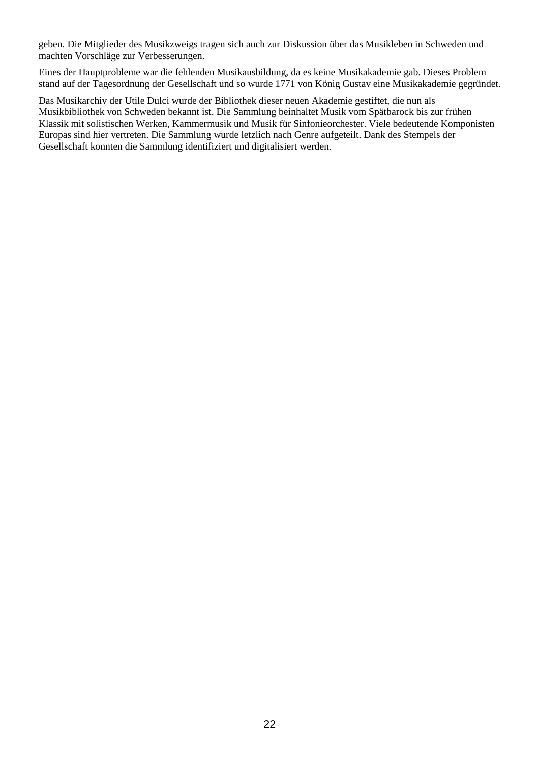geben. Die Mitglieder des Musikzweigs tragen sich auch zur Diskussion über das Musikleben in Schweden und machten Vorschläge zur Verbesserungen.

Eines der Hauptprobleme war die fehlenden Musikausbildung, da es keine Musikakademie gab. Dieses Problem stand auf der Tagesordnung der Gesellschaft und so wurde 1771 von König Gustav eine Musikakademie gegründet.

Das Musikarchiv der Utile Dulci wurde der Bibliothek dieser neuen Akademie gestiftet, die nun als Musikbibliothek von Schweden bekannt ist. Die Sammlung beinhaltet Musik vom Spätbarock bis zur frühen Klassik mit solistischen Werken, Kammermusik und Musik für Sinfonieorchester. Viele bedeutende Komponisten Europas sind hier vertreten. Die Sammlung wurde letzlich nach Genre aufgeteilt. Dank des Stempels der Gesellschaft konnten die Sammlung identifiziert und digitalisiert werden.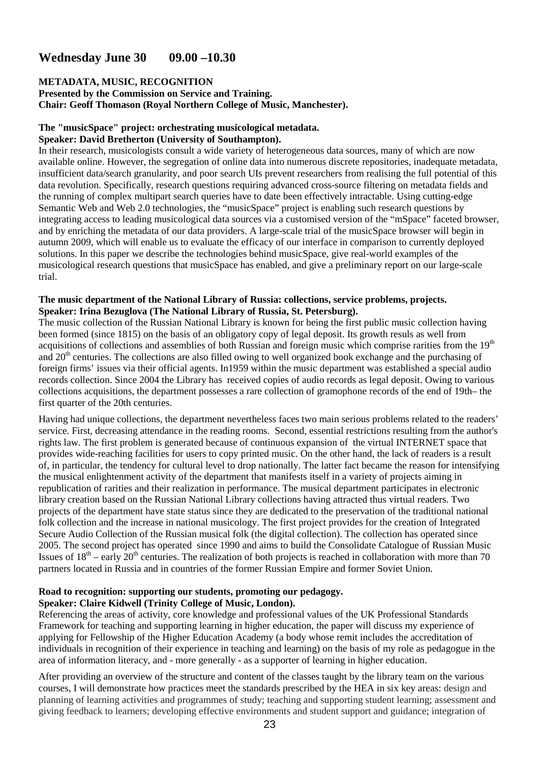# **Wednesday June 30 09.00 –10.30**

#### **METADATA, MUSIC, RECOGNITION Presented by the Commission on Service and Training. Chair: Geoff Thomason (Royal Northern College of Music, Manchester).**

# **The "musicSpace" project: orchestrating musicological metadata.**

### **Speaker: David Bretherton (University of Southampton).**

In their research, musicologists consult a wide variety of heterogeneous data sources, many of which are now available online. However, the segregation of online data into numerous discrete repositories, inadequate metadata, insufficient data/search granularity, and poor search UIs prevent researchers from realising the full potential of this data revolution. Specifically, research questions requiring advanced cross-source filtering on metadata fields and the running of complex multipart search queries have to date been effectively intractable. Using cutting-edge Semantic Web and Web 2.0 technologies, the "musicSpace" project is enabling such research questions by integrating access to leading musicological data sources via a customised version of the "mSpace" faceted browser, and by enriching the metadata of our data providers. A large-scale trial of the musicSpace browser will begin in autumn 2009, which will enable us to evaluate the efficacy of our interface in comparison to currently deployed solutions. In this paper we describe the technologies behind musicSpace, give real-world examples of the musicological research questions that musicSpace has enabled, and give a preliminary report on our large-scale trial.

## **The music department of the National Library of Russia: collections, service problems, projects. Speaker: Irina Bezuglova (The National Library of Russia, St. Petersburg).**

The music collection of the Russian National Library is known for being the first public music collection having been formed (since 1815) on the basis of an obligatory copy of legal deposit. Its growth resuls as well from acquisitions of collections and assemblies of both Russian and foreign music which comprise rarities from the 19<sup>th</sup> and 20<sup>th</sup> centuries. The collections are also filled owing to well organized book exchange and the purchasing of foreign firms' issues via their official agents. In1959 within the music department was established a special audio records collection. Since 2004 the Library has received copies of audio records as legal deposit. Owing to various collections acquisitions, the department possesses a rare collection of gramophone records of the end of 19th– the first quarter of the 20th centuries.

Having had unique collections, the department nevertheless faces two main serious problems related to the readers' service. First, decreasing attendance in the reading rooms. Second, essential restrictions resulting from the author's rights law. The first problem is generated because of continuous expansion of the virtual INTERNET space that provides wide-reaching facilities for users to copy printed music. On the other hand, the lack of readers is a result of, in particular, the tendency for cultural level to drop nationally. The latter fact became the reason for intensifying the musical enlightenment activity of the department that manifests itself in a variety of projects aiming in republication of rarities and their realization in performance. The musical department participates in electronic library creation based on the Russian National Library collections having attracted thus virtual readers. Two projects of the department have state status since they are dedicated to the preservation of the traditional national folk collection and the increase in national musicology. The first project provides for the creation of Integrated Secure Audio Collection of the Russian musical folk (the digital collection). The collection has operated since 2005. The second project has operated since 1990 and aims to build the Consolidate Catalogue of Russian Music Issues of  $18<sup>th</sup> -$  early  $20<sup>th</sup>$  centuries. The realization of both projects is reached in collaboration with more than 70 partners located in Russia and in countries of the former Russian Empire and former Soviet Union.

### **Road to recognition: supporting our students, promoting our pedagogy. Speaker: Claire Kidwell (Trinity College of Music, London).**

Referencing the areas of activity, core knowledge and professional values of the UK Professional Standards Framework for teaching and supporting learning in higher education, the paper will discuss my experience of applying for Fellowship of the Higher Education Academy (a body whose remit includes the accreditation of individuals in recognition of their experience in teaching and learning) on the basis of my role as pedagogue in the area of information literacy, and - more generally - as a supporter of learning in higher education.

After providing an overview of the structure and content of the classes taught by the library team on the various courses, I will demonstrate how practices meet the standards prescribed by the HEA in six key areas: design and planning of learning activities and programmes of study; teaching and supporting student learning; assessment and giving feedback to learners; developing effective environments and student support and guidance; integration of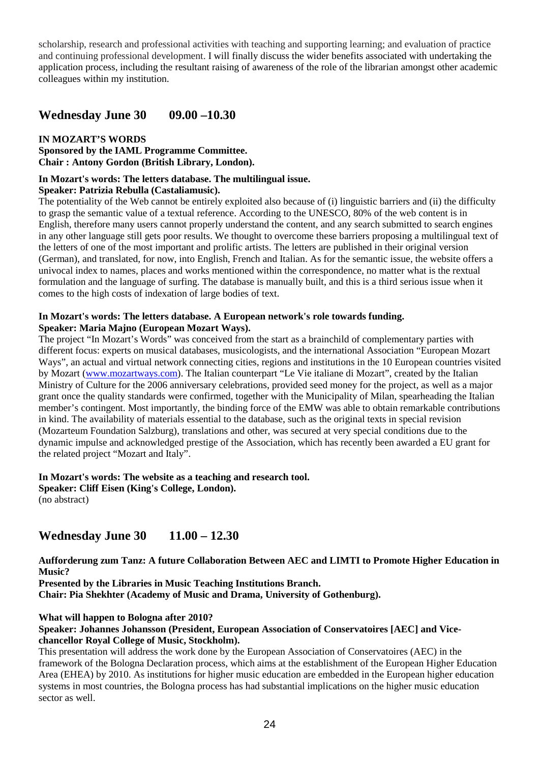scholarship, research and professional activities with teaching and supporting learning; and evaluation of practice and continuing professional development. I will finally discuss the wider benefits associated with undertaking the application process, including the resultant raising of awareness of the role of the librarian amongst other academic colleagues within my institution.

# **Wednesday June 30 09.00 –10.30**

## **IN MOZART'S WORDS**

**Sponsored by the IAML Programme Committee. Chair : Antony Gordon (British Library, London).** 

# **In Mozart's words: The letters database. The multilingual issue.**

### **Speaker: Patrizia Rebulla (Castaliamusic).**

The potentiality of the Web cannot be entirely exploited also because of (i) linguistic barriers and (ii) the difficulty to grasp the semantic value of a textual reference. According to the UNESCO, 80% of the web content is in English, therefore many users cannot properly understand the content, and any search submitted to search engines in any other language still gets poor results. We thought to overcome these barriers proposing a multilingual text of the letters of one of the most important and prolific artists. The letters are published in their original version (German), and translated, for now, into English, French and Italian. As for the semantic issue, the website offers a univocal index to names, places and works mentioned within the correspondence, no matter what is the rextual formulation and the language of surfing. The database is manually built, and this is a third serious issue when it comes to the high costs of indexation of large bodies of text.

### **In Mozart's words: The letters database. A European network's role towards funding. Speaker: Maria Majno (European Mozart Ways).**

The project "In Mozart's Words" was conceived from the start as a brainchild of complementary parties with different focus: experts on musical databases, musicologists, and the international Association "European Mozart Ways", an actual and virtual network connecting cities, regions and institutions in the 10 European countries visited by Mozart (www.mozartways.com). The Italian counterpart "Le Vie italiane di Mozart", created by the Italian Ministry of Culture for the 2006 anniversary celebrations, provided seed money for the project, as well as a major grant once the quality standards were confirmed, together with the Municipality of Milan, spearheading the Italian member's contingent. Most importantly, the binding force of the EMW was able to obtain remarkable contributions in kind. The availability of materials essential to the database, such as the original texts in special revision (Mozarteum Foundation Salzburg), translations and other, was secured at very special conditions due to the dynamic impulse and acknowledged prestige of the Association, which has recently been awarded a EU grant for the related project "Mozart and Italy".

## **In Mozart's words: The website as a teaching and research tool.**

**Speaker: Cliff Eisen (King's College, London).**  (no abstract)

# **Wednesday June 30 11.00 – 12.30**

**Aufforderung zum Tanz: A future Collaboration Between AEC and LIMTI to Promote Higher Education in Music?** 

**Presented by the Libraries in Music Teaching Institutions Branch.** 

**Chair: Pia Shekhter (Academy of Music and Drama, University of Gothenburg).** 

## **What will happen to Bologna after 2010?**

### **Speaker: Johannes Johansson (President, European Association of Conservatoires [AEC] and Vicechancellor Royal College of Music, Stockholm).**

This presentation will address the work done by the European Association of Conservatoires (AEC) in the framework of the Bologna Declaration process, which aims at the establishment of the European Higher Education Area (EHEA) by 2010. As institutions for higher music education are embedded in the European higher education systems in most countries, the Bologna process has had substantial implications on the higher music education sector as well.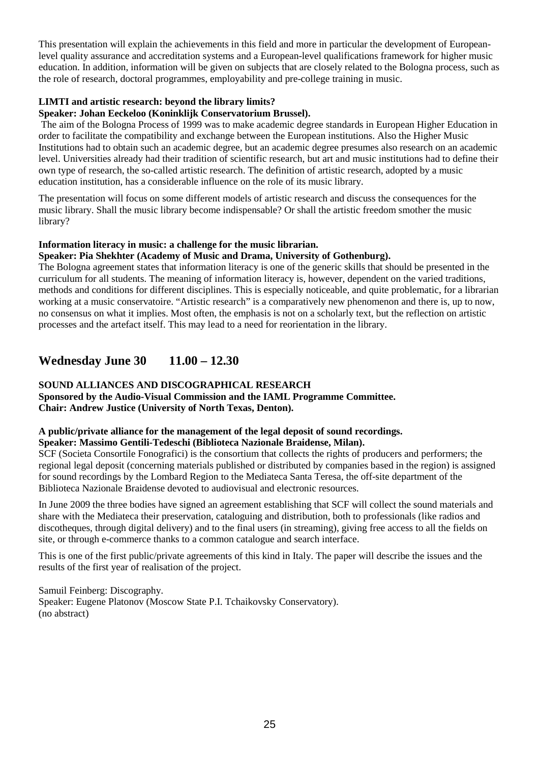This presentation will explain the achievements in this field and more in particular the development of Europeanlevel quality assurance and accreditation systems and a European-level qualifications framework for higher music education. In addition, information will be given on subjects that are closely related to the Bologna process, such as the role of research, doctoral programmes, employability and pre-college training in music.

## **LIMTI and artistic research: beyond the library limits?**

# **Speaker: Johan Eeckeloo (Koninklijk Conservatorium Brussel).**

The aim of the Bologna Process of 1999 was to make academic degree standards in European Higher Education in order to facilitate the compatibility and exchange between the European institutions. Also the Higher Music Institutions had to obtain such an academic degree, but an academic degree presumes also research on an academic level. Universities already had their tradition of scientific research, but art and music institutions had to define their own type of research, the so-called artistic research. The definition of artistic research, adopted by a music education institution, has a considerable influence on the role of its music library.

The presentation will focus on some different models of artistic research and discuss the consequences for the music library. Shall the music library become indispensable? Or shall the artistic freedom smother the music library?

# **Information literacy in music: a challenge for the music librarian.**

# **Speaker: Pia Shekhter (Academy of Music and Drama, University of Gothenburg).**

The Bologna agreement states that information literacy is one of the generic skills that should be presented in the curriculum for all students. The meaning of information literacy is, however, dependent on the varied traditions, methods and conditions for different disciplines. This is especially noticeable, and quite problematic, for a librarian working at a music conservatoire. "Artistic research" is a comparatively new phenomenon and there is, up to now, no consensus on what it implies. Most often, the emphasis is not on a scholarly text, but the reflection on artistic processes and the artefact itself. This may lead to a need for reorientation in the library.

# **Wednesday June 30 11.00 – 12.30**

# **SOUND ALLIANCES AND DISCOGRAPHICAL RESEARCH**

**Sponsored by the Audio-Visual Commission and the IAML Programme Committee. Chair: Andrew Justice (University of North Texas, Denton).** 

# **A public/private alliance for the management of the legal deposit of sound recordings.**

# **Speaker: Massimo Gentili-Tedeschi (Biblioteca Nazionale Braidense, Milan).**

SCF (Societa Consortile Fonografici) is the consortium that collects the rights of producers and performers; the regional legal deposit (concerning materials published or distributed by companies based in the region) is assigned for sound recordings by the Lombard Region to the Mediateca Santa Teresa, the off-site department of the Biblioteca Nazionale Braidense devoted to audiovisual and electronic resources.

In June 2009 the three bodies have signed an agreement establishing that SCF will collect the sound materials and share with the Mediateca their preservation, cataloguing and distribution, both to professionals (like radios and discotheques, through digital delivery) and to the final users (in streaming), giving free access to all the fields on site, or through e-commerce thanks to a common catalogue and search interface.

This is one of the first public/private agreements of this kind in Italy. The paper will describe the issues and the results of the first year of realisation of the project.

Samuil Feinberg: Discography. Speaker: Eugene Platonov (Moscow State P.I. Tchaikovsky Conservatory). (no abstract)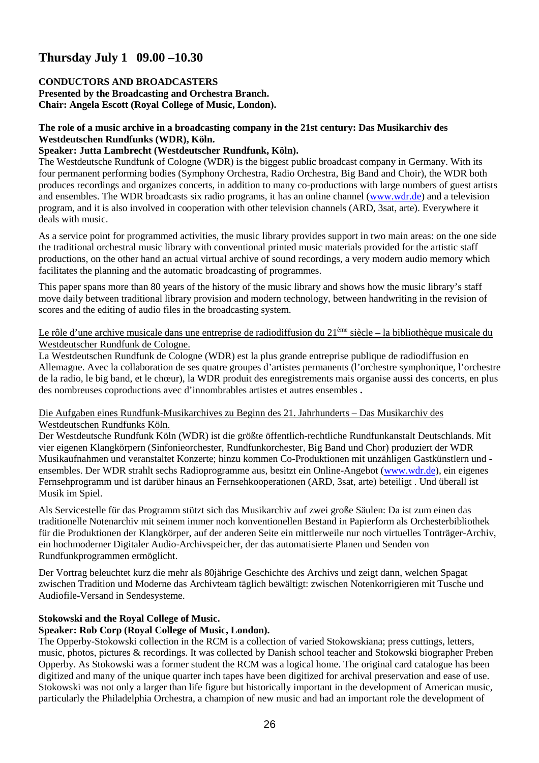# **Thursday July 1 09.00 –10.30**

## **CONDUCTORS AND BROADCASTERS**

**Presented by the Broadcasting and Orchestra Branch. Chair: Angela Escott (Royal College of Music, London).** 

## **The role of a music archive in a broadcasting company in the 21st century: Das Musikarchiv des Westdeutschen Rundfunks (WDR), Köln.**

### **Speaker: Jutta Lambrecht (Westdeutscher Rundfunk, Köln).**

The Westdeutsche Rundfunk of Cologne (WDR) is the biggest public broadcast company in Germany. With its four permanent performing bodies (Symphony Orchestra, Radio Orchestra, Big Band and Choir), the WDR both produces recordings and organizes concerts, in addition to many co-productions with large numbers of guest artists and ensembles. The WDR broadcasts six radio programs, it has an online channel (www.wdr.de) and a television program, and it is also involved in cooperation with other television channels (ARD, 3sat, arte). Everywhere it deals with music.

As a service point for programmed activities, the music library provides support in two main areas: on the one side the traditional orchestral music library with conventional printed music materials provided for the artistic staff productions, on the other hand an actual virtual archive of sound recordings, a very modern audio memory which facilitates the planning and the automatic broadcasting of programmes.

This paper spans more than 80 years of the history of the music library and shows how the music library's staff move daily between traditional library provision and modern technology, between handwriting in the revision of scores and the editing of audio files in the broadcasting system.

## Le rôle d'une archive musicale dans une entreprise de radiodiffusion du 21<sup>ème</sup> siècle – la bibliothèque musicale du Westdeutscher Rundfunk de Cologne.

La Westdeutschen Rundfunk de Cologne (WDR) est la plus grande entreprise publique de radiodiffusion en Allemagne. Avec la collaboration de ses quatre groupes d'artistes permanents (l'orchestre symphonique, l'orchestre de la radio, le big band, et le chœur), la WDR produit des enregistrements mais organise aussi des concerts, en plus des nombreuses coproductions avec d'innombrables artistes et autres ensembles **.** 

## Die Aufgaben eines Rundfunk-Musikarchives zu Beginn des 21. Jahrhunderts – Das Musikarchiv des Westdeutschen Rundfunks Köln.

Der Westdeutsche Rundfunk Köln (WDR) ist die größte öffentlich-rechtliche Rundfunkanstalt Deutschlands. Mit vier eigenen Klangkörpern (Sinfonieorchester, Rundfunkorchester, Big Band und Chor) produziert der WDR Musikaufnahmen und veranstaltet Konzerte; hinzu kommen Co-Produktionen mit unzähligen Gastkünstlern und ensembles. Der WDR strahlt sechs Radioprogramme aus, besitzt ein Online-Angebot (www.wdr.de), ein eigenes Fernsehprogramm und ist darüber hinaus an Fernsehkooperationen (ARD, 3sat, arte) beteiligt . Und überall ist Musik im Spiel.

Als Servicestelle für das Programm stützt sich das Musikarchiv auf zwei große Säulen: Da ist zum einen das traditionelle Notenarchiv mit seinem immer noch konventionellen Bestand in Papierform als Orchesterbibliothek für die Produktionen der Klangkörper, auf der anderen Seite ein mittlerweile nur noch virtuelles Tonträger-Archiv, ein hochmoderner Digitaler Audio-Archivspeicher, der das automatisierte Planen und Senden von Rundfunkprogrammen ermöglicht.

Der Vortrag beleuchtet kurz die mehr als 80jährige Geschichte des Archivs und zeigt dann, welchen Spagat zwischen Tradition und Moderne das Archivteam täglich bewältigt: zwischen Notenkorrigieren mit Tusche und Audiofile-Versand in Sendesysteme.

## **Stokowski and the Royal College of Music.**

## **Speaker: Rob Corp (Royal College of Music, London).**

The Opperby-Stokowski collection in the RCM is a collection of varied Stokowskiana; press cuttings, letters, music, photos, pictures & recordings. It was collected by Danish school teacher and Stokowski biographer Preben Opperby. As Stokowski was a former student the RCM was a logical home. The original card catalogue has been digitized and many of the unique quarter inch tapes have been digitized for archival preservation and ease of use. Stokowski was not only a larger than life figure but historically important in the development of American music, particularly the Philadelphia Orchestra, a champion of new music and had an important role the development of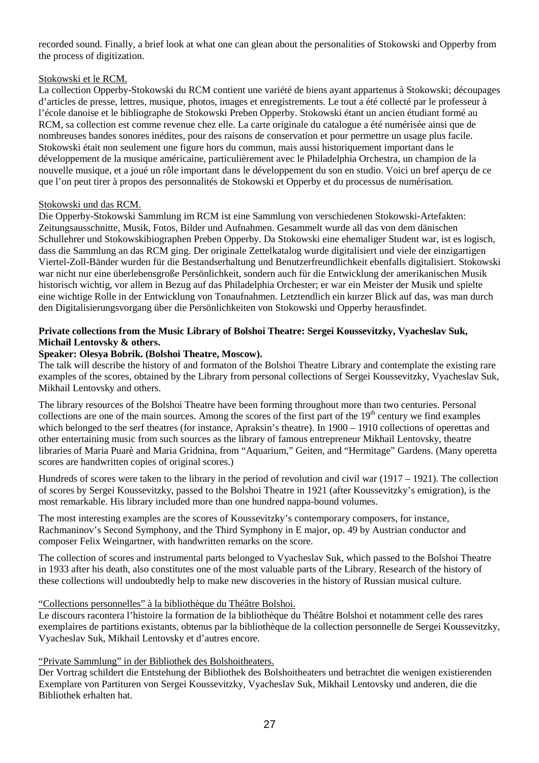recorded sound. Finally, a brief look at what one can glean about the personalities of Stokowski and Opperby from the process of digitization.

### Stokowski et le RCM.

La collection Opperby-Stokowski du RCM contient une variété de biens ayant appartenus à Stokowski; découpages d'articles de presse, lettres, musique, photos, images et enregistrements. Le tout a été collecté par le professeur à l'école danoise et le bibliographe de Stokowski Preben Opperby. Stokowski étant un ancien étudiant formé au RCM, sa collection est comme revenue chez elle. La carte originale du catalogue a été numérisée ainsi que de nombreuses bandes sonores inédites, pour des raisons de conservation et pour permettre un usage plus facile. Stokowski était non seulement une figure hors du commun, mais aussi historiquement important dans le développement de la musique américaine, particulièrement avec le Philadelphia Orchestra, un champion de la nouvelle musique, et a joué un rôle important dans le développement du son en studio. Voici un bref aperçu de ce que l'on peut tirer à propos des personnalités de Stokowski et Opperby et du processus de numérisation.

### Stokowski und das RCM.

Die Opperby-Stokowski Sammlung im RCM ist eine Sammlung von verschiedenen Stokowski-Artefakten: Zeitungsausschnitte, Musik, Fotos, Bilder und Aufnahmen. Gesammelt wurde all das von dem dänischen Schullehrer und Stokowskibiographen Preben Opperby. Da Stokowski eine ehemaliger Student war, ist es logisch, dass die Sammlung an das RCM ging. Der originale Zettelkatalog wurde digitalisiert und viele der einzigartigen Viertel-Zoll-Bänder wurden für die Bestandserhaltung und Benutzerfreundlichkeit ebenfalls digitalisiert. Stokowski war nicht nur eine überlebensgroße Persönlichkeit, sondern auch für die Entwicklung der amerikanischen Musik historisch wichtig, vor allem in Bezug auf das Philadelphia Orchester; er war ein Meister der Musik und spielte eine wichtige Rolle in der Entwicklung von Tonaufnahmen. Letztendlich ein kurzer Blick auf das, was man durch den Digitalisierungsvorgang über die Persönlichkeiten von Stokowski und Opperby herausfindet.

### **Private collections from the Music Library of Bolshoi Theatre: Sergei Koussevitzky, Vyacheslav Suk, Michail Lentovsky & others.**

### **Speaker: Olesya Bobrik. (Bolshoi Theatre, Moscow).**

The talk will describe the history of and formaton of the Bolshoi Theatre Library and contemplate the existing rare examples of the scores, obtained by the Library from personal collections of Sergei Koussevitzky, Vyacheslav Suk, Mikhail Lentovsky and others.

The library resources of the Bolshoi Theatre have been forming throughout more than two centuries. Personal collections are one of the main sources. Among the scores of the first part of the  $19<sup>th</sup>$  century we find examples which belonged to the serf theatres (for instance, Apraksin's theatre). In 1900 – 1910 collections of operettas and other entertaining music from such sources as the library of famous entrepreneur Mikhail Lentovsky, theatre libraries of Maria Puarè and Maria Gridnina, from "Aquarium," Geiten, and "Hermitage" Gardens. (Many operetta scores are handwritten copies of original scores.)

Hundreds of scores were taken to the library in the period of revolution and civil war (1917 – 1921). The collection of scores by Sergei Koussevitzky, passed to the Bolshoi Theatre in 1921 (after Koussevitzky's emigration), is the most remarkable. His library included more than one hundred nappa-bound volumes.

The most interesting examples are the scores of Koussevitzky's contemporary composers, for instance, Rachmaninov's Second Symphony, and the Third Symphony in E major, op. 49 by Austrian conductor and composer Felix Weingartner, with handwritten remarks on the score.

The collection of scores and instrumental parts belonged to Vyacheslav Suk, which passed to the Bolshoi Theatre in 1933 after his death, also constitutes one of the most valuable parts of the Library. Research of the history of these collections will undoubtedly help to make new discoveries in the history of Russian musical culture.

### "Collections personnelles" à la bibliothèque du Théâtre Bolshoi.

Le discours racontera l'histoire la formation de la bibliothèque du Théâtre Bolshoi et notamment celle des rares exemplaires de partitions existants, obtenus par la bibliothèque de la collection personnelle de Sergei Koussevitzky, Vyacheslav Suk, Mikhail Lentovsky et d'autres encore.

### "Private Sammlung" in der Bibliothek des Bolshoitheaters.

Der Vortrag schildert die Entstehung der Bibliothek des Bolshoitheaters und betrachtet die wenigen existierenden Exemplare von Partituren von Sergei Koussevitzky, Vyacheslav Suk, Mikhail Lentovsky und anderen, die die Bibliothek erhalten hat.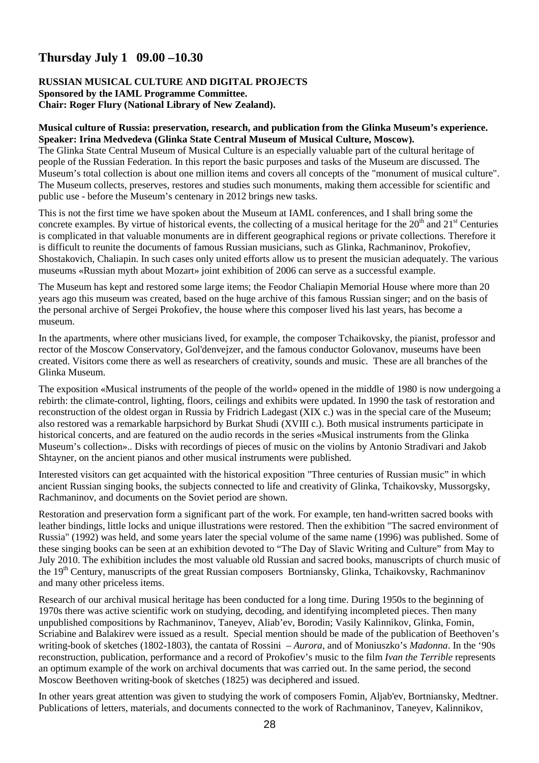# **Thursday July 1 09.00 –10.30**

#### **RUSSIAN MUSICAL CULTURE AND DIGITAL PROJECTS Sponsored by the IAML Programme Committee. Chair: Roger Flury (National Library of New Zealand).**

### **Musical culture of Russia: preservation, research, and publication from the Glinka Museum's experience. Speaker: Irina Medvedeva (Glinka State Central Museum of Musical Culture, Moscow).**

The Glinka State Central Museum of Musical Culture is an especially valuable part of the cultural heritage of people of the Russian Federation. In this report the basic purposes and tasks of the Museum are discussed. The Museum's total collection is about one million items and covers all concepts of the "monument of musical culture". The Museum collects, preserves, restores and studies such monuments, making them accessible for scientific and public use - before the Museum's centenary in 2012 brings new tasks.

This is not the first time we have spoken about the Museum at IAML conferences, and I shall bring some the concrete examples. By virtue of historical events, the collecting of a musical heritage for the  $20<sup>th</sup>$  and  $21<sup>st</sup>$  Centuries is complicated in that valuable monuments are in different geographical regions or private collections. Therefore it is difficult to reunite the documents of famous Russian musicians, such as Glinka, Rachmaninov, Prokofiev, Shostakovich, Chaliapin. In such cases only united efforts allow us to present the musician adequately. The various museums «Russian myth about Mozart» joint exhibition of 2006 can serve as a successful example.

The Museum has kept and restored some large items; the Feodor Chaliapin Memorial House where more than 20 years ago this museum was created, based on the huge archive of this famous Russian singer; and on the basis of the personal archive of Sergei Prokofiev, the house where this composer lived his last years, has become a museum.

In the apartments, where other musicians lived, for example, the composer Tchaikovsky, the pianist, professor and rector of the Moscow Conservatory, Gol'denvejzer, and the famous conductor Golovanov, museums have been created. Visitors come there as well as researchers of creativity, sounds and music. These are all branches of the Glinka Museum.

The exposition «Musical instruments of the people of the world» opened in the middle of 1980 is now undergoing a rebirth: the climate-control, lighting, floors, ceilings and exhibits were updated. In 1990 the task of restoration and reconstruction of the oldest organ in Russia by Fridrich Ladegast (XIX c.) was in the special care of the Museum; also restored was a remarkable harpsichord by Burkat Shudi (XVIII c.). Both musical instruments participate in historical concerts, and are featured on the audio records in the series «Musical instruments from the Glinka Museum's collection».. Disks with recordings of pieces of music on the violins by Antonio Stradivari and Jakob Shtayner, on the ancient pianos and other musical instruments were published.

Interested visitors can get acquainted with the historical exposition "Three centuries of Russian music" in which ancient Russian singing books, the subjects connected to life and creativity of Glinka, Tchaikovsky, Mussorgsky, Rachmaninov, and documents on the Soviet period are shown.

Restoration and preservation form a significant part of the work. For example, ten hand-written sacred books with leather bindings, little locks and unique illustrations were restored. Then the exhibition "The sacred environment of Russia" (1992) was held, and some years later the special volume of the same name (1996) was published. Some of these singing books can be seen at an exhibition devoted to "The Day of Slavic Writing and Culture" from May to July 2010. The exhibition includes the most valuable old Russian and sacred books, manuscripts of church music of the 19<sup>th</sup> Century, manuscripts of the great Russian composers Bortniansky, Glinka, Tchaikovsky, Rachmaninov and many other priceless items.

Research of our archival musical heritage has been conducted for a long time. During 1950s to the beginning of 1970s there was active scientific work on studying, decoding, and identifying incompleted pieces. Then many unpublished compositions by Rachmaninov, Taneyev, Aliab'ev, Borodin; Vasily Kalinnikov, Glinka, Fomin, Scriabine and Balakirev were issued as a result. Special mention should be made of the publication of Beethoven's writing-book of sketches (1802-1803), the cantata of Rossini – *Aurora*, and of Moniuszko's *Madonna*. In the '90s reconstruction, publication, performance and a record of Prokofiev's music to the film *Ivan the Terrible* represents an optimum example of the work on archival documents that was carried out. In the same period, the second Moscow Beethoven writing-book of sketches (1825) was deciphered and issued.

In other years great attention was given to studying the work of composers Fomin, Aljab'ev, Bortniansky, Medtner. Publications of letters, materials, and documents connected to the work of Rachmaninov, Taneyev, Kalinnikov,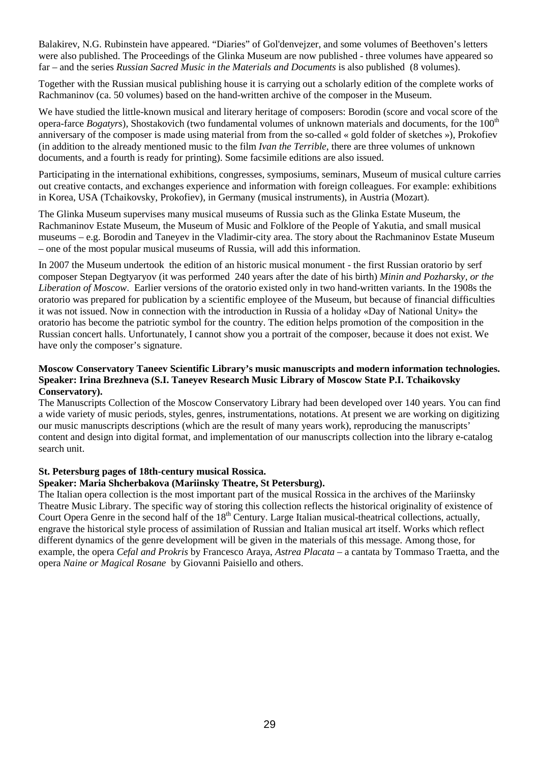Balakirev, N.G. Rubinstein have appeared. "Diaries" of Gol'denvejzer, and some volumes of Beethoven's letters were also published. The Proceedings of the Glinka Museum are now published - three volumes have appeared so far – and the series *Russian Sacred Music in the Materials and Documents* is also published (8 volumes).

Together with the Russian musical publishing house it is carrying out a scholarly edition of the complete works of Rachmaninov (ca. 50 volumes) based on the hand-written archive of the composer in the Museum.

We have studied the little-known musical and literary heritage of composers: Borodin (score and vocal score of the opera-farce *Bogatyrs*), Shostakovich (two fundamental volumes of unknown materials and documents, for the 100<sup>th</sup> anniversary of the composer is made using material from from the so-called « gold folder of sketches »), Prokofiev (in addition to the already mentioned music to the film *Ivan the Terrible*, there are three volumes of unknown documents, and a fourth is ready for printing). Some facsimile editions are also issued.

Participating in the international exhibitions, congresses, symposiums, seminars, Museum of musical culture carries out creative contacts, and exchanges experience and information with foreign colleagues. For example: exhibitions in Korea, USA (Tchaikovsky, Prokofiev), in Germany (musical instruments), in Austria (Mozart).

The Glinka Museum supervises many musical museums of Russia such as the Glinka Estate Museum, the Rachmaninov Estate Museum, the Museum of Music and Folklore of the People of Yakutia, and small musical museums – e.g. Borodin and Taneyev in the Vladimir-city area. The story about the Rachmaninov Estate Museum – one of the most popular musical museums of Russia, will add this information.

In 2007 the Museum undertook the edition of an historic musical monument - the first Russian oratorio by serf composer Stepan Degtyaryov (it was performed 240 years after the date of his birth) *Minin and Pozharsky, or the Liberation of Moscow*. Earlier versions of the oratorio existed only in two hand-written variants. In the 1908s the oratorio was prepared for publication by a scientific employee of the Museum, but because of financial difficulties it was not issued. Now in connection with the introduction in Russia of a holiday «Day of National Unity» the oratorio has become the patriotic symbol for the country. The edition helps promotion of the composition in the Russian concert halls. Unfortunately, I cannot show you a portrait of the composer, because it does not exist. We have only the composer's signature.

### **Moscow Conservatory Taneev Scientific Library's music manuscripts and modern information technologies. Speaker: Irina Brezhneva (S.I. Taneyev Research Music Library of Moscow State P.I. Tchaikovsky Conservatory).**

The Manuscripts Collection of the Moscow Conservatory Library had been developed over 140 years. You can find a wide variety of music periods, styles, genres, instrumentations, notations. At present we are working on digitizing our music manuscripts descriptions (which are the result of many years work), reproducing the manuscripts' content and design into digital format, and implementation of our manuscripts collection into the library e-catalog search unit.

## **St. Petersburg pages of 18th-century musical Rossica.**

## **Speaker: Maria Shcherbakova (Mariinsky Theatre, St Petersburg).**

The Italian opera collection is the most important part of the musical Rossica in the archives of the Mariinsky Theatre Music Library. The specific way of storing this collection reflects the historical originality of existence of Court Opera Genre in the second half of the 18<sup>th</sup> Century. Large Italian musical-theatrical collections, actually, engrave the historical style process of assimilation of Russian and Italian musical art itself. Works which reflect different dynamics of the genre development will be given in the materials of this message. Among those, for example, the opera *Cefal and Prokris* by Francesco Araya, *Astrea Placata* – a cantata by Tommaso Traetta, and the opera *Naine or Magical Rosane* by Giovanni Paisiello and others.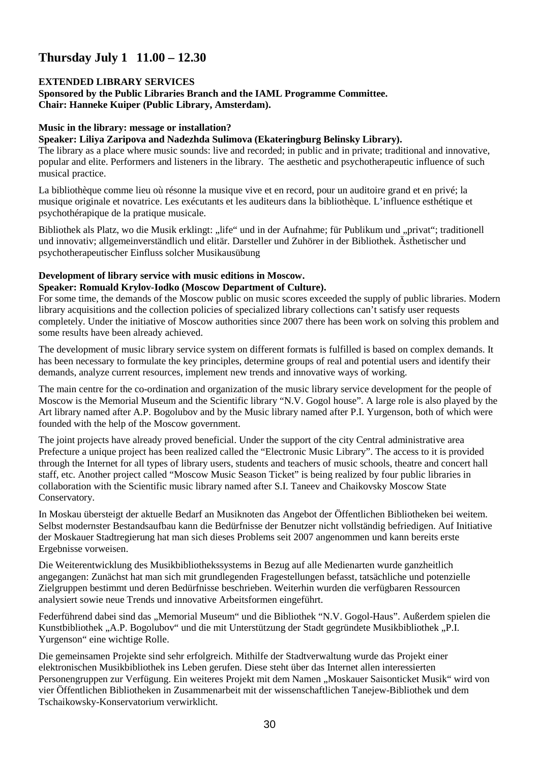# **Thursday July 1 11.00 – 12.30**

#### **EXTENDED LIBRARY SERVICES Sponsored by the Public Libraries Branch and the IAML Programme Committee. Chair: Hanneke Kuiper (Public Library, Amsterdam).**

### **Music in the library: message or installation?**

### **Speaker: Liliya Zaripova and Nadezhda Sulimova (Ekateringburg Belinsky Library).**

The library as a place where music sounds: live and recorded; in public and in private; traditional and innovative, popular and elite. Performers and listeners in the library. The aesthetic and psychotherapeutic influence of such musical practice.

La bibliothèque comme lieu où résonne la musique vive et en record, pour un auditoire grand et en privé; la musique originale et novatrice. Les exécutants et les auditeurs dans la bibliothèque. L'influence esthétique et psychothérapique de la pratique musicale.

Bibliothek als Platz, wo die Musik erklingt: "life" und in der Aufnahme; für Publikum und "privat"; traditionell und innovativ; allgemeinverständlich und elitär. Darsteller und Zuhörer in der Bibliothek. Ästhetischer und psychotherapeutischer Einfluss solcher Musikausübung

## **Development of library service with music editions in Moscow.**

### **Speaker: Romuald Krylov-Iodko (Moscow Department of Culture).**

For some time, the demands of the Moscow public on music scores exceeded the supply of public libraries. Modern library acquisitions and the collection policies of specialized library collections can't satisfy user requests completely. Under the initiative of Moscow authorities since 2007 there has been work on solving this problem and some results have been already achieved.

The development of music library service system on different formats is fulfilled is based on complex demands. It has been necessary to formulate the key principles, determine groups of real and potential users and identify their demands, analyze current resources, implement new trends and innovative ways of working.

The main centre for the co-ordination and organization of the music library service development for the people of Moscow is the Memorial Museum and the Scientific library "N.V. Gogol house". A large role is also played by the Art library named after A.P. Bogolubov and by the Music library named after P.I. Yurgenson, both of which were founded with the help of the Moscow government.

The joint projects have already proved beneficial. Under the support of the city Central administrative area Prefecture a unique project has been realized called the "Electronic Music Library". The access to it is provided through the Internet for all types of library users, students and teachers of music schools, theatre and concert hall staff, etc. Another project called "Moscow Music Season Ticket" is being realized by four public libraries in collaboration with the Scientific music library named after S.I. Taneev and Chaikovsky Moscow State Conservatory.

In Moskau übersteigt der aktuelle Bedarf an Musiknoten das Angebot der Öffentlichen Bibliotheken bei weitem. Selbst modernster Bestandsaufbau kann die Bedürfnisse der Benutzer nicht vollständig befriedigen. Auf Initiative der Moskauer Stadtregierung hat man sich dieses Problems seit 2007 angenommen und kann bereits erste Ergebnisse vorweisen.

Die Weiterentwicklung des Musikbibliothekssystems in Bezug auf alle Medienarten wurde ganzheitlich angegangen: Zunächst hat man sich mit grundlegenden Fragestellungen befasst, tatsächliche und potenzielle Zielgruppen bestimmt und deren Bedürfnisse beschrieben. Weiterhin wurden die verfügbaren Ressourcen analysiert sowie neue Trends und innovative Arbeitsformen eingeführt.

Federführend dabei sind das "Memorial Museum" und die Bibliothek "N.V. Gogol-Haus". Außerdem spielen die Kunstbibliothek "A.P. Bogolubov" und die mit Unterstützung der Stadt gegründete Musikbibliothek "P.I. Yurgenson" eine wichtige Rolle.

Die gemeinsamen Projekte sind sehr erfolgreich. Mithilfe der Stadtverwaltung wurde das Projekt einer elektronischen Musikbibliothek ins Leben gerufen. Diese steht über das Internet allen interessierten Personengruppen zur Verfügung. Ein weiteres Projekt mit dem Namen "Moskauer Saisonticket Musik" wird von vier Öffentlichen Bibliotheken in Zusammenarbeit mit der wissenschaftlichen Tanejew-Bibliothek und dem Tschaikowsky-Konservatorium verwirklicht.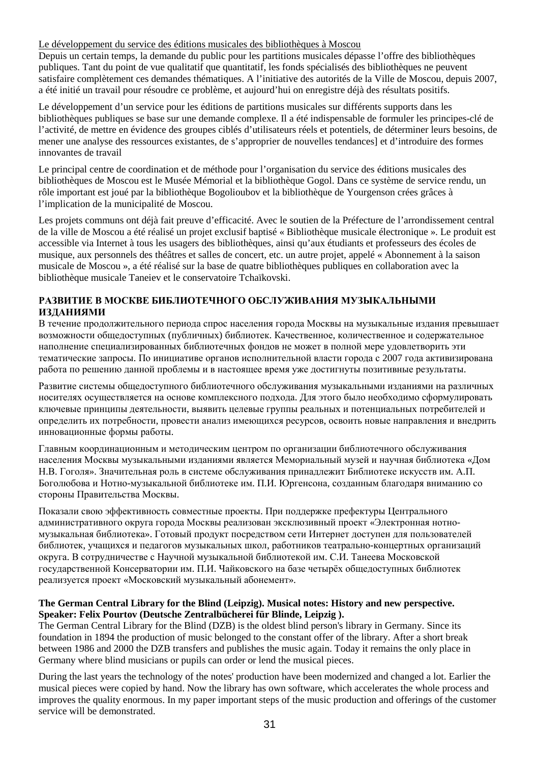### Le développement du service des éditions musicales des bibliothèques à Moscou

Depuis un certain temps, la demande du public pour les partitions musicales dépasse l'offre des bibliothèques publiques. Tant du point de vue qualitatif que quantitatif, les fonds spécialisés des bibliothèques ne peuvent satisfaire complètement ces demandes thématiques. A l'initiative des autorités de la Ville de Moscou, depuis 2007, a été initié un travail pour résoudre ce problème, et aujourd'hui on enregistre déjà des résultats positifs.

Le développement d'un service pour les éditions de partitions musicales sur différents supports dans les bibliothèques publiques se base sur une demande complexe. Il a été indispensable de formuler les principes-clé de l'activité, de mettre en évidence des groupes ciblés d'utilisateurs réels et potentiels, de déterminer leurs besoins, de mener une analyse des ressources existantes, de s'approprier de nouvelles tendances] et d'introduire des formes innovantes de travail

Le principal centre de coordination et de méthode pour l'organisation du service des éditions musicales des bibliothèques de Moscou est le Musée Mémorial et la bibliothèque Gogol. Dans ce système de service rendu, un rôle important est joué par la bibliothèque Bogolioubov et la bibliothèque de Yourgenson crées grâces à l'implication de la municipalité de Moscou.

Les projets communs ont déjà fait preuve d'efficacité. Avec le soutien de la Préfecture de l'arrondissement central de la ville de Moscou a été réalisé un projet exclusif baptisé « Bibliothèque musicale électronique ». Le produit est accessible via Internet à tous les usagers des bibliothèques, ainsi qu'aux étudiants et professeurs des écoles de musique, aux personnels des théâtres et salles de concert, etc. un autre projet, appelé « Abonnement à la saison musicale de Moscou », a été réalisé sur la base de quatre bibliothèques publiques en collaboration avec la bibliothèque musicale Taneiev et le conservatoire Tchaïkovski.

### **РАЗВИТИЕ В МОСКВЕ БИБЛИОТЕЧНОГО ОБСЛУЖИВАНИЯ МУЗЫКАЛЬНЫМИ ИЗДАНИЯМИ**

В течение продолжительного периода спрос населения города Москвы на музыкальные издания превышает возможности общедоступных (публичных) библиотек. Качественное, количественное и содержательное наполнение специализированных библиотечных фондов не может в полной мере удовлетворить эти тематические запросы. По инициативе органов исполнительной власти города с 2007 года активизирована работа по решению данной проблемы и в настоящее время уже достигнуты позитивные результаты.

Развитие системы общедоступного библиотечного обслуживания музыкальными изданиями на различных носителях осуществляется на основе комплексного подхода. Для этого было необходимо сформулировать ключевые принципы деятельности, выявить целевые группы реальных и потенциальных потребителей и определить их потребности, провести анализ имеющихся ресурсов, освоить новые направления и внедрить инновационные формы работы.

Главным координационным и методическим центром по организации библиотечного обслуживания населения Москвы музыкальными изданиями является Мемориальный музей и научная библиотека «Дом Н.В. Гоголя». Значительная роль в системе обслуживания принадлежит Библиотеке искусств им. А.П. Боголюбова и Нотно-музыкальной библиотеке им. П.И. Юргенсона, созданным благодаря вниманию со стороны Правительства Москвы.

Показали свою эффективность совместные проекты. При поддержке префектуры Центрального административного округа города Москвы реализован эксклюзивный проект «Электронная нотномузыкальная библиотека». Готовый продукт посредством сети Интернет доступен для пользователей библиотек, учащихся и педагогов музыкальных школ, работников театрально-концертных организаций округа. В сотрудничестве с Научной музыкальной библиотекой им. С.И. Танеева Московской государственной Консерватории им. П.И. Чайковского на базе четырёх общедоступных библиотек реализуется проект «Московский музыкальный абонемент».

### **The German Central Library for the Blind (Leipzig). Musical notes: History and new perspective. Speaker: Felix Pourtov (Deutsche Zentralbücherei für Blinde, Leipzig ).**

The German Central Library for the Blind (DZB) is the oldest blind person's library in Germany. Since its foundation in 1894 the production of music belonged to the constant offer of the library. After a short break between 1986 and 2000 the DZB transfers and publishes the music again. Today it remains the only place in Germany where blind musicians or pupils can order or lend the musical pieces.

During the last years the technology of the notes' production have been modernized and changed a lot. Earlier the musical pieces were copied by hand. Now the library has own software, which accelerates the whole process and improves the quality enormous. In my paper important steps of the music production and offerings of the customer service will be demonstrated.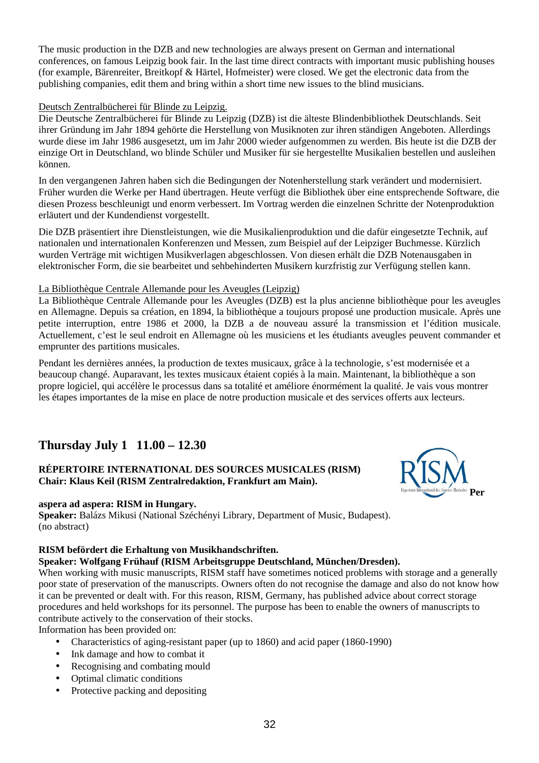The music production in the DZB and new technologies are always present on German and international conferences, on famous Leipzig book fair. In the last time direct contracts with important music publishing houses (for example, Bärenreiter, Breitkopf & Härtel, Hofmeister) were closed. We get the electronic data from the publishing companies, edit them and bring within a short time new issues to the blind musicians.

### Deutsch Zentralbücherei für Blinde zu Leipzig.

Die Deutsche Zentralbücherei für Blinde zu Leipzig (DZB) ist die älteste Blindenbibliothek Deutschlands. Seit ihrer Gründung im Jahr 1894 gehörte die Herstellung von Musiknoten zur ihren ständigen Angeboten. Allerdings wurde diese im Jahr 1986 ausgesetzt, um im Jahr 2000 wieder aufgenommen zu werden. Bis heute ist die DZB der einzige Ort in Deutschland, wo blinde Schüler und Musiker für sie hergestellte Musikalien bestellen und ausleihen können.

In den vergangenen Jahren haben sich die Bedingungen der Notenherstellung stark verändert und modernisiert. Früher wurden die Werke per Hand übertragen. Heute verfügt die Bibliothek über eine entsprechende Software, die diesen Prozess beschleunigt und enorm verbessert. Im Vortrag werden die einzelnen Schritte der Notenproduktion erläutert und der Kundendienst vorgestellt.

Die DZB präsentiert ihre Dienstleistungen, wie die Musikalienproduktion und die dafür eingesetzte Technik, auf nationalen und internationalen Konferenzen und Messen, zum Beispiel auf der Leipziger Buchmesse. Kürzlich wurden Verträge mit wichtigen Musikverlagen abgeschlossen. Von diesen erhält die DZB Notenausgaben in elektronischer Form, die sie bearbeitet und sehbehinderten Musikern kurzfristig zur Verfügung stellen kann.

## La Bibliothèque Centrale Allemande pour les Aveugles (Leipzig)

La Bibliothèque Centrale Allemande pour les Aveugles (DZB) est la plus ancienne bibliothèque pour les aveugles en Allemagne. Depuis sa création, en 1894, la bibliothèque a toujours proposé une production musicale. Après une petite interruption, entre 1986 et 2000, la DZB a de nouveau assuré la transmission et l'édition musicale. Actuellement, c'est le seul endroit en Allemagne où les musiciens et les étudiants aveugles peuvent commander et emprunter des partitions musicales.

Pendant les dernières années, la production de textes musicaux, grâce à la technologie, s'est modernisée et a beaucoup changé. Auparavant, les textes musicaux étaient copiés à la main. Maintenant, la bibliothèque a son propre logiciel, qui accélère le processus dans sa totalité et améliore énormément la qualité. Je vais vous montrer les étapes importantes de la mise en place de notre production musicale et des services offerts aux lecteurs.

# **Thursday July 1 11.00 – 12.30**

# **RÉPERTOIRE INTERNATIONAL DES SOURCES MUSICALES (RISM) Chair: Klaus Keil (RISM Zentralredaktion, Frankfurt am Main).**



**Speaker:** Balázs Mikusi (National Széchényi Library, Department of Music, Budapest). (no abstract)

## **RISM befördert die Erhaltung von Musikhandschriften.**

### **Speaker: Wolfgang Frühauf (RISM Arbeitsgruppe Deutschland, München/Dresden).**

When working with music manuscripts, RISM staff have sometimes noticed problems with storage and a generally poor state of preservation of the manuscripts. Owners often do not recognise the damage and also do not know how it can be prevented or dealt with. For this reason, RISM, Germany, has published advice about correct storage procedures and held workshops for its personnel. The purpose has been to enable the owners of manuscripts to contribute actively to the conservation of their stocks.

Information has been provided on:

- Characteristics of aging-resistant paper (up to 1860) and acid paper (1860-1990)
- Ink damage and how to combat it
- Recognising and combating mould
- Optimal climatic conditions
- Protective packing and depositing

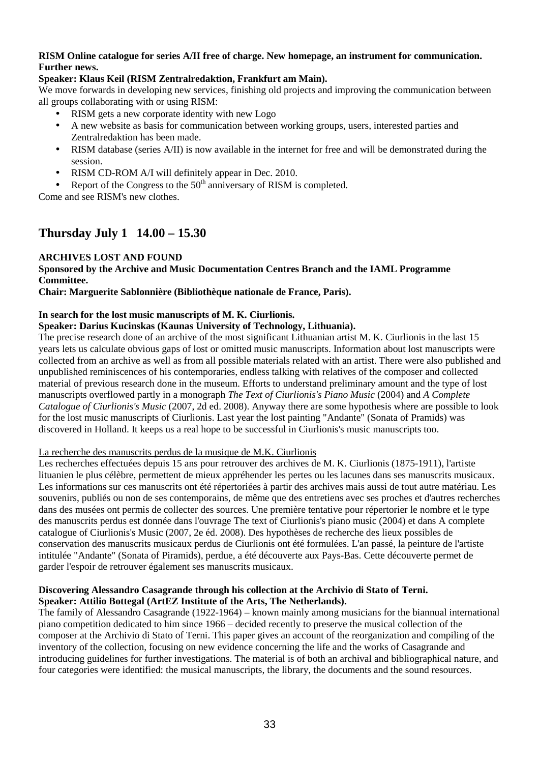### **RISM Online catalogue for series A/II free of charge. New homepage, an instrument for communication. Further news.**

### **Speaker: Klaus Keil (RISM Zentralredaktion, Frankfurt am Main).**

We move forwards in developing new services, finishing old projects and improving the communication between all groups collaborating with or using RISM:

- RISM gets a new corporate identity with new Logo
- A new website as basis for communication between working groups, users, interested parties and Zentralredaktion has been made.
- RISM database (series A/II) is now available in the internet for free and will be demonstrated during the session.
- RISM CD-ROM A/I will definitely appear in Dec. 2010.
- Report of the Congress to the  $50<sup>th</sup>$  anniversary of RISM is completed.

Come and see RISM's new clothes.

# **Thursday July 1 14.00 – 15.30**

## **ARCHIVES LOST AND FOUND**

### **Sponsored by the Archive and Music Documentation Centres Branch and the IAML Programme Committee.**

**Chair: Marguerite Sablonnière (Bibliothèque nationale de France, Paris).** 

### **In search for the lost music manuscripts of M. K. Ciurlionis.**

### **Speaker: Darius Kucinskas (Kaunas University of Technology, Lithuania).**

The precise research done of an archive of the most significant Lithuanian artist M. K. Ciurlionis in the last 15 years lets us calculate obvious gaps of lost or omitted music manuscripts. Information about lost manuscripts were collected from an archive as well as from all possible materials related with an artist. There were also published and unpublished reminiscences of his contemporaries, endless talking with relatives of the composer and collected material of previous research done in the museum. Efforts to understand preliminary amount and the type of lost manuscripts overflowed partly in a monograph *The Text of Ciurlionis's Piano Music* (2004) and *A Complete Catalogue of Ciurlionis's Music* (2007, 2d ed. 2008). Anyway there are some hypothesis where are possible to look for the lost music manuscripts of Ciurlionis. Last year the lost painting "Andante" (Sonata of Pramids) was discovered in Holland. It keeps us a real hope to be successful in Ciurlionis's music manuscripts too.

### La recherche des manuscrits perdus de la musique de M.K. Ciurlionis

Les recherches effectuées depuis 15 ans pour retrouver des archives de M. K. Ciurlionis (1875-1911), l'artiste lituanien le plus célèbre, permettent de mieux appréhender les pertes ou les lacunes dans ses manuscrits musicaux. Les informations sur ces manuscrits ont été répertoriées à partir des archives mais aussi de tout autre matériau. Les souvenirs, publiés ou non de ses contemporains, de même que des entretiens avec ses proches et d'autres recherches dans des musées ont permis de collecter des sources. Une première tentative pour répertorier le nombre et le type des manuscrits perdus est donnée dans l'ouvrage The text of Ciurlionis's piano music (2004) et dans A complete catalogue of Ciurlionis's Music (2007, 2e éd. 2008). Des hypothèses de recherche des lieux possibles de conservation des manuscrits musicaux perdus de Ciurlionis ont été formulées. L'an passé, la peinture de l'artiste intitulée "Andante" (Sonata of Piramids), perdue, a été découverte aux Pays-Bas. Cette découverte permet de garder l'espoir de retrouver également ses manuscrits musicaux.

### **Discovering Alessandro Casagrande through his collection at the Archivio di Stato of Terni. Speaker: Attilio Bottegal (ArtEZ Institute of the Arts, The Netherlands).**

The family of Alessandro Casagrande (1922-1964) – known mainly among musicians for the biannual international piano competition dedicated to him since 1966 – decided recently to preserve the musical collection of the composer at the Archivio di Stato of Terni. This paper gives an account of the reorganization and compiling of the inventory of the collection, focusing on new evidence concerning the life and the works of Casagrande and introducing guidelines for further investigations. The material is of both an archival and bibliographical nature, and four categories were identified: the musical manuscripts, the library, the documents and the sound resources.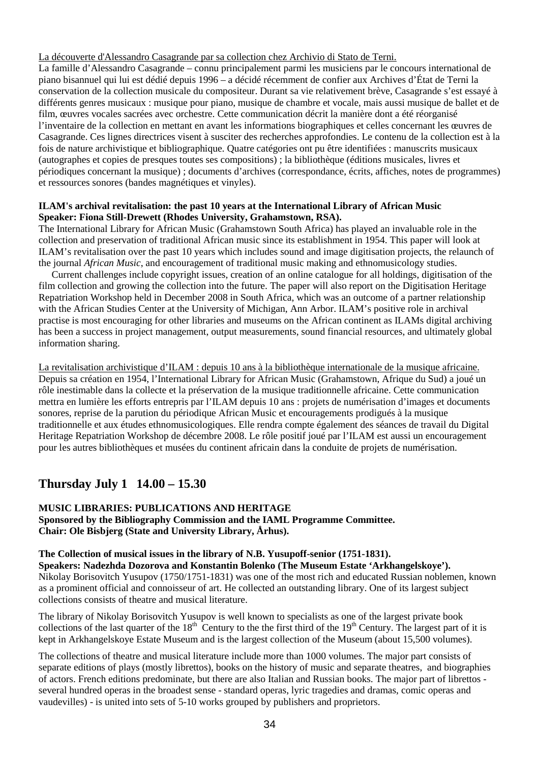La découverte d'Alessandro Casagrande par sa collection chez Archivio di Stato de Terni.

La famille d'Alessandro Casagrande – connu principalement parmi les musiciens par le concours international de piano bisannuel qui lui est dédié depuis 1996 – a décidé récemment de confier aux Archives d'État de Terni la conservation de la collection musicale du compositeur. Durant sa vie relativement brève, Casagrande s'est essayé à différents genres musicaux : musique pour piano, musique de chambre et vocale, mais aussi musique de ballet et de film, œuvres vocales sacrées avec orchestre. Cette communication décrit la manière dont a été réorganisé l'inventaire de la collection en mettant en avant les informations biographiques et celles concernant les œuvres de Casagrande. Ces lignes directrices visent à susciter des recherches approfondies. Le contenu de la collection est à la fois de nature archivistique et bibliographique. Quatre catégories ont pu être identifiées : manuscrits musicaux (autographes et copies de presques toutes ses compositions) ; la bibliothèque (éditions musicales, livres et périodiques concernant la musique) ; documents d'archives (correspondance, écrits, affiches, notes de programmes) et ressources sonores (bandes magnétiques et vinyles).

### **ILAM's archival revitalisation: the past 10 years at the International Library of African Music Speaker: Fiona Still-Drewett (Rhodes University, Grahamstown, RSA).**

The International Library for African Music (Grahamstown South Africa) has played an invaluable role in the collection and preservation of traditional African music since its establishment in 1954. This paper will look at ILAM's revitalisation over the past 10 years which includes sound and image digitisation projects, the relaunch of the journal *African Music*, and encouragement of traditional music making and ethnomusicology studies.

Current challenges include copyright issues, creation of an online catalogue for all holdings, digitisation of the film collection and growing the collection into the future. The paper will also report on the Digitisation Heritage Repatriation Workshop held in December 2008 in South Africa, which was an outcome of a partner relationship with the African Studies Center at the University of Michigan, Ann Arbor. ILAM's positive role in archival practise is most encouraging for other libraries and museums on the African continent as ILAMs digital archiving has been a success in project management, output measurements, sound financial resources, and ultimately global information sharing.

La revitalisation archivistique d'ILAM : depuis 10 ans à la bibliothèque internationale de la musique africaine. Depuis sa création en 1954, l'International Library for African Music (Grahamstown, Afrique du Sud) a joué un rôle inestimable dans la collecte et la préservation de la musique traditionnelle africaine. Cette communication mettra en lumière les efforts entrepris par l'ILAM depuis 10 ans : projets de numérisation d'images et documents sonores, reprise de la parution du périodique African Music et encouragements prodigués à la musique traditionnelle et aux études ethnomusicologiques. Elle rendra compte également des séances de travail du Digital Heritage Repatriation Workshop de décembre 2008. Le rôle positif joué par l'ILAM est aussi un encouragement pour les autres bibliothèques et musées du continent africain dans la conduite de projets de numérisation.

# **Thursday July 1 14.00 – 15.30**

**MUSIC LIBRARIES: PUBLICATIONS AND HERITAGE Sponsored by the Bibliography Commission and the IAML Programme Committee. Chair: Ole Bisbjerg (State and University Library, Århus).** 

## **The Collection of musical issues in the library of N.B. Yusupoff-senior (1751-1831).**

**Speakers: Nadezhda Dozorova and Konstantin Bolenko (The Museum Estate 'Arkhangelskoye').**  Nikolay Borisovitch Yusupov (1750/1751-1831) was one of the most rich and educated Russian noblemen, known as a prominent official and connoisseur of art. He collected an outstanding library. One of its largest subject collections consists of theatre and musical literature.

The library of Nikolay Borisovitch Yusupov is well known to specialists as one of the largest private book collections of the last quarter of the  $18<sup>th</sup>$  Century to the the first third of the  $19<sup>th</sup>$  Century. The largest part of it is kept in Arkhangelskoye Estate Museum and is the largest collection of the Museum (about 15,500 volumes).

The collections of theatre and musical literature include more than 1000 volumes. The major part consists of separate editions of plays (mostly librettos), books on the history of music and separate theatres, and biographies of actors. French editions predominate, but there are also Italian and Russian books. The major part of librettos several hundred operas in the broadest sense - standard operas, lyric tragedies and dramas, comic operas and vaudevilles) - is united into sets of 5-10 works grouped by publishers and proprietors.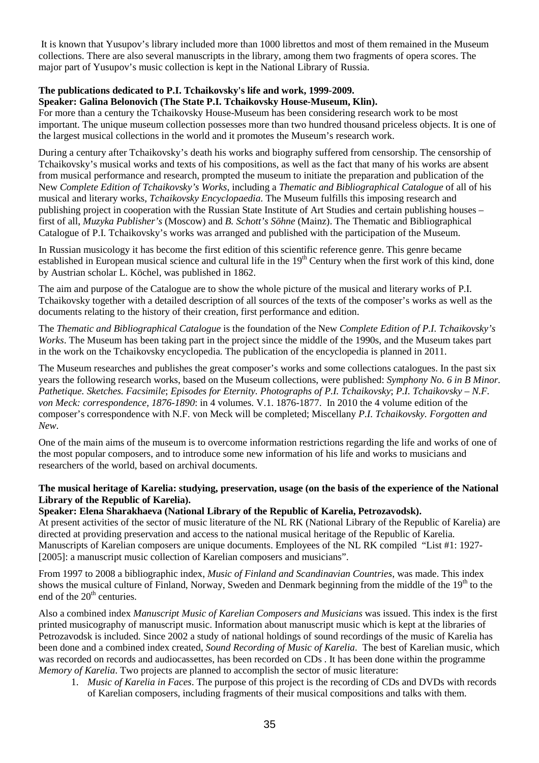It is known that Yusupov's library included more than 1000 librettos and most of them remained in the Museum collections. There are also several manuscripts in the library, among them two fragments of opera scores. The major part of Yusupov's music collection is kept in the National Library of Russia.

# **The publications dedicated to P.I. Tchaikovsky's life and work, 1999-2009.**

### **Speaker: Galina Belonovich (The State P.I. Tchaikovsky House-Museum, Klin).**

For more than a century the Tchaikovsky House-Museum has been considering research work to be most important. The unique museum collection possesses more than two hundred thousand priceless objects. It is one of the largest musical collections in the world and it promotes the Museum's research work.

During a century after Tchaikovsky's death his works and biography suffered from censorship. The censorship of Tchaikovsky's musical works and texts of his compositions, as well as the fact that many of his works are absent from musical performance and research, prompted the museum to initiate the preparation and publication of the New *Complete Edition of Tchaikovsky's Works*, including a *Thematic and Bibliographical Catalogue* of all of his musical and literary works, *Tchaikovsky Encyclopaedia*. The Museum fulfills this imposing research and publishing project in cooperation with the Russian State Institute of Art Studies and certain publishing houses – first of all, *Muzyka Publisher's* (Moscow) and *B. Schott's Söhne* (Mainz). The Thematic and Bibliographical Catalogue of P.I. Tchaikovsky's works was arranged and published with the participation of the Museum.

In Russian musicology it has become the first edition of this scientific reference genre. This genre became established in European musical science and cultural life in the 19<sup>th</sup> Century when the first work of this kind, done by Austrian scholar L. Köchel, was published in 1862.

The aim and purpose of the Catalogue are to show the whole picture of the musical and literary works of P.I. Tchaikovsky together with a detailed description of all sources of the texts of the composer's works as well as the documents relating to the history of their creation, first performance and edition.

The *Thematic and Bibliographical Catalogue* is the foundation of the New *Complete Edition of P.I. Tchaikovsky's Works*. The Museum has been taking part in the project since the middle of the 1990s, and the Museum takes part in the work on the Tchaikovsky encyclopedia*.* The publication of the encyclopedia is planned in 2011.

The Museum researches and publishes the great composer's works and some collections catalogues. In the past six years the following research works, based on the Museum collections, were published: *Symphony No. 6 in B Minor. Pathetique. Sketches. Facsimile*; *Episodes for Eternity. Photographs of P.I. Tchaikovsky*; *P.I. Tchaikovsky – N.F. von Meck: correspondence, 1876-1890*: in 4 volumes. V.1. 1876-1877. In 2010 the 4 volume edition of the composer's correspondence with N.F. von Meck will be completed; Miscellany *P.I. Tchaikovsky. Forgotten and New*.

One of the main aims of the museum is to overcome information restrictions regarding the life and works of one of the most popular composers, and to introduce some new information of his life and works to musicians and researchers of the world, based on archival documents.

### **The musical heritage of Karelia: studying, preservation, usage (on the basis of the experience of the National Library of the Republic of Karelia).**

## **Speaker: Elena Sharakhaeva (National Library of the Republic of Karelia, Petrozavodsk).**

At present activities of the sector of music literature of the NL RK (National Library of the Republic of Karelia) are directed at providing preservation and access to the national musical heritage of the Republic of Karelia. Manuscripts of Karelian composers are unique documents. Employees of the NL RK compiled "List #1: 1927- [2005]: a manuscript music collection of Karelian composers and musicians".

From 1997 to 2008 a bibliographic index, *Music of Finland and Scandinavian Countries*, was made. This index shows the musical culture of Finland, Norway, Sweden and Denmark beginning from the middle of the  $19<sup>th</sup>$  to the end of the  $20<sup>th</sup>$  centuries.

Also a combined index *Manuscript Music of Karelian Composers and Musicians* was issued. This index is the first printed musicography of manuscript music. Information about manuscript music which is kept at the libraries of Petrozavodsk is included. Since 2002 a study of national holdings of sound recordings of the music of Karelia has been done and a combined index created, *Sound Recording of Music of Karelia*. The best of Karelian music, which was recorded on records and audiocassettes, has been recorded on CDs . It has been done within the programme *Memory of Karelia*. Two projects are planned to accomplish the sector of music literature:

1. *Music of Karelia in Faces*. The purpose of this project is the recording of CDs and DVDs with records of Karelian composers, including fragments of their musical compositions and talks with them.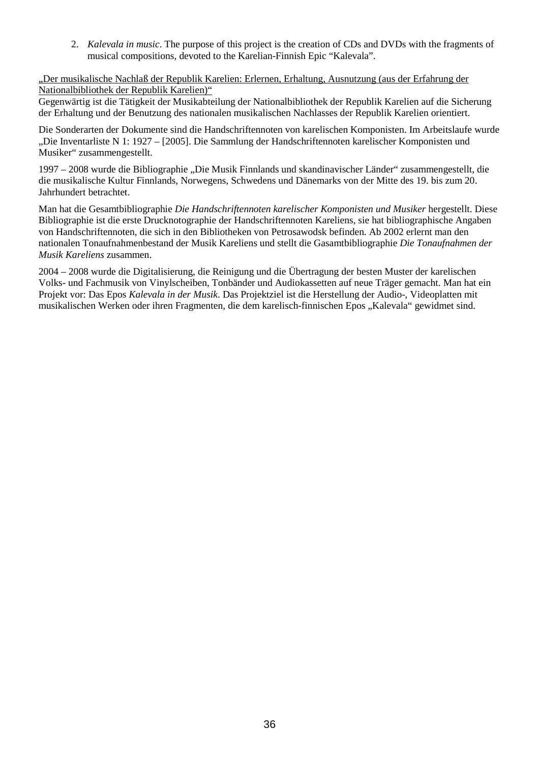2. *Kalevala in music*. The purpose of this project is the creation of CDs and DVDs with the fragments of musical compositions, devoted to the Karelian-Finnish Epic "Kalevala".

"Der musikalische Nachlaß der Republik Karelien: Erlernen, Erhaltung, Ausnutzung (aus der Erfahrung der Nationalbibliothek der Republik Karelien)"

Gegenwärtig ist die Tätigkeit der Musikabteilung der Nationalbibliothek der Republik Karelien auf die Sicherung der Erhaltung und der Benutzung des nationalen musikalischen Nachlasses der Republik Karelien orientiert.

Die Sonderarten der Dokumente sind die Handschriftennoten von karelischen Komponisten. Im Arbeitslaufe wurde "Die Inventarliste N 1: 1927 – [2005]. Die Sammlung der Handschriftennoten karelischer Komponisten und Musiker" zusammengestellt.

1997 – 2008 wurde die Bibliographie "Die Musik Finnlands und skandinavischer Länder" zusammengestellt, die die musikalische Kultur Finnlands, Norwegens, Schwedens und Dänemarks von der Mitte des 19. bis zum 20. Jahrhundert betrachtet.

Man hat die Gesamtbibliographie *Die Handschriftennoten karelischer Komponisten und Musiker* hergestellt. Diese Bibliographie ist die erste Drucknotographie der Handschriftennoten Kareliens, sie hat bibliographische Angaben von Handschriftennoten, die sich in den Bibliotheken von Petrosawodsk befinden. Ab 2002 erlernt man den nationalen Tonaufnahmenbestand der Musik Kareliens und stellt die Gasamtbibliographie *Die Tonaufnahmen der Musik Kareliens* zusammen.

2004 – 2008 wurde die Digitalisierung, die Reinigung und die Übertragung der besten Muster der karelischen Volks- und Fachmusik von Vinylscheiben, Tonbänder und Audiokassetten auf neue Träger gemacht. Man hat ein Projekt vor: Das Epos *Kalevala in der Musik*. Das Projektziel ist die Herstellung der Audio-, Videoplatten mit musikalischen Werken oder ihren Fragmenten, die dem karelisch-finnischen Epos "Kalevala" gewidmet sind.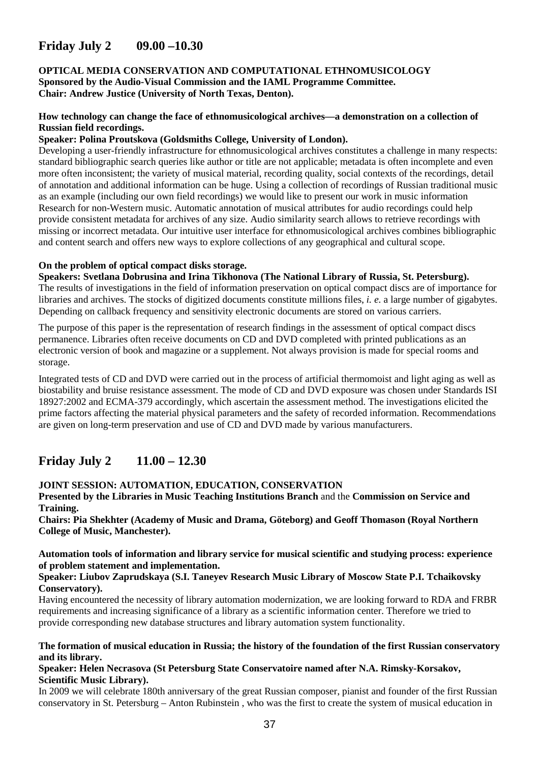# **Friday July 2 09.00 –10.30**

### **OPTICAL MEDIA CONSERVATION AND COMPUTATIONAL ETHNOMUSICOLOGY Sponsored by the Audio-Visual Commission and the IAML Programme Committee. Chair: Andrew Justice (University of North Texas, Denton).**

### **How technology can change the face of ethnomusicological archives—a demonstration on a collection of Russian field recordings.**

### **Speaker: Polina Proutskova (Goldsmiths College, University of London).**

Developing a user-friendly infrastructure for ethnomusicological archives constitutes a challenge in many respects: standard bibliographic search queries like author or title are not applicable; metadata is often incomplete and even more often inconsistent; the variety of musical material, recording quality, social contexts of the recordings, detail of annotation and additional information can be huge. Using a collection of recordings of Russian traditional music as an example (including our own field recordings) we would like to present our work in music information Research for non-Western music. Automatic annotation of musical attributes for audio recordings could help provide consistent metadata for archives of any size. Audio similarity search allows to retrieve recordings with missing or incorrect metadata. Our intuitive user interface for ethnomusicological archives combines bibliographic and content search and offers new ways to explore collections of any geographical and cultural scope.

### **On the problem of optical compact disks storage.**

**Speakers: Svetlana Dobrusina and Irina Tikhonova (The National Library of Russia, St. Petersburg).** 

The results of investigations in the field of information preservation on optical compact discs are of importance for libraries and archives. The stocks of digitized documents constitute millions files, *i. e.* a large number of gigabytes. Depending on callback frequency and sensitivity electronic documents are stored on various carriers.

The purpose of this paper is the representation of research findings in the assessment of optical compact discs permanence. Libraries often receive documents on CD and DVD completed with printed publications as an electronic version of book and magazine or a supplement. Not always provision is made for special rooms and storage.

Integrated tests of CD and DVD were carried out in the process of artificial thermomoist and light aging as well as biostability and bruise resistance assessment. The mode of CD and DVD exposure was chosen under Standards ISI 18927:2002 and ECMA-379 accordingly, which ascertain the assessment method. The investigations elicited the prime factors affecting the material physical parameters and the safety of recorded information. Recommendations are given on long-term preservation and use of CD and DVD made by various manufacturers.

# **Friday July 2 11.00 – 12.30**

### **JOINT SESSION: AUTOMATION, EDUCATION, CONSERVATION**

**Presented by the Libraries in Music Teaching Institutions Branch** and the **Commission on Service and Training.**

**Chairs: Pia Shekhter (Academy of Music and Drama, Göteborg) and Geoff Thomason (Royal Northern College of Music, Manchester).** 

### **Automation tools of information and library service for musical scientific and studying process: experience of problem statement and implementation.**

### **Speaker: Liubov Zaprudskaya (S.I. Taneyev Research Music Library of Moscow State P.I. Tchaikovsky Conservatory).**

Having encountered the necessity of library automation modernization, we are looking forward to RDA and FRBR requirements and increasing significance of a library as a scientific information center. Therefore we tried to provide corresponding new database structures and library automation system functionality.

### **The formation of musical education in Russia; the history of the foundation of the first Russian conservatory and its library.**

### **Speaker: Helen Necrasova (St Petersburg State Conservatoire named after N.A. Rimsky-Korsakov, Scientific Music Library).**

In 2009 we will celebrate 180th anniversary of the great Russian composer, pianist and founder of the first Russian conservatory in St. Petersburg – Anton Rubinstein , who was the first to create the system of musical education in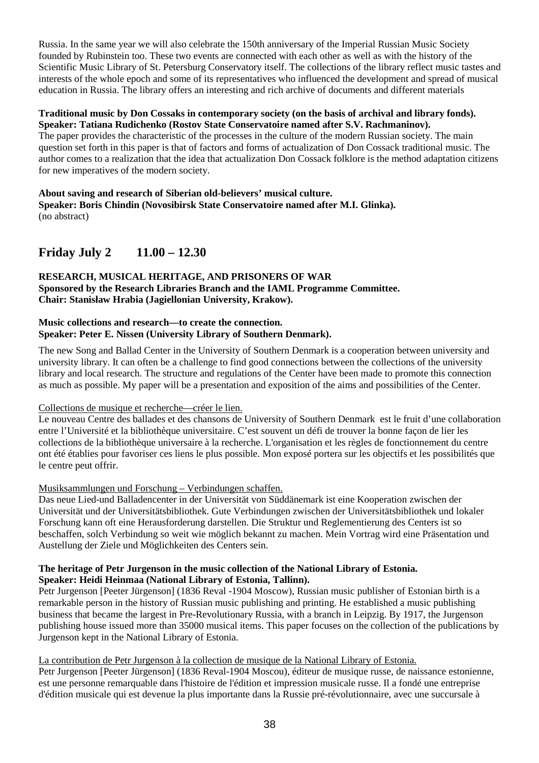Russia. In the same year we will also celebrate the 150th anniversary of the Imperial Russian Music Society founded by Rubinstein too. These two events are connected with each other as well as with the history of the Scientific Music Library of St. Petersburg Conservatory itself. The collections of the library reflect music tastes and interests of the whole epoch and some of its representatives who influenced the development and spread of musical education in Russia. The library offers an interesting and rich archive of documents and different materials

#### **Traditional music by Don Cossaks in contemporary society (on the basis of archival and library fonds). Speaker: Tatiana Rudichenko (Rostov State Conservatoire named after S.V. Rachmaninov).**

The paper provides the characteristic of the processes in the culture of the modern Russian society. The main question set forth in this paper is that of factors and forms of actualization of Don Cossack traditional music. The author comes to a realization that the idea that actualization Don Cossack folklore is the method adaptation citizens for new imperatives of the modern society.

#### **About saving and research of Siberian old-believers' musical culture. Speaker: Boris Chindin (Novosibirsk State Conservatoire named after M.I. Glinka).**  (no abstract)

# **Friday July 2 11.00 – 12.30**

## **RESEARCH, MUSICAL HERITAGE, AND PRISONERS OF WAR Sponsored by the Research Libraries Branch and the IAML Programme Committee. Chair: Stanisław Hrabia (Jagiellonian University, Krakow).**

## **Music collections and research—to create the connection. Speaker: Peter E. Nissen (University Library of Southern Denmark).**

The new Song and Ballad Center in the University of Southern Denmark is a cooperation between university and university library. It can often be a challenge to find good connections between the collections of the university library and local research. The structure and regulations of the Center have been made to promote this connection as much as possible. My paper will be a presentation and exposition of the aims and possibilities of the Center.

# Collections de musique et recherche—créer le lien.

Le nouveau Centre des ballades et des chansons de University of Southern Denmark est le fruit d'une collaboration entre l'Université et la bibliothèque universitaire. C'est souvent un défi de trouver la bonne façon de lier les collections de la bibliothèque universaire à la recherche. L'organisation et les règles de fonctionnement du centre ont été établies pour favoriser ces liens le plus possible. Mon exposé portera sur les objectifs et les possibilités que le centre peut offrir.

# Musiksammlungen und Forschung – Verbindungen schaffen.

Das neue Lied-und Balladencenter in der Universität von Süddänemark ist eine Kooperation zwischen der Universität und der Universitätsbibliothek. Gute Verbindungen zwischen der Universitätsbibliothek und lokaler Forschung kann oft eine Herausforderung darstellen. Die Struktur und Reglementierung des Centers ist so beschaffen, solch Verbindung so weit wie möglich bekannt zu machen. Mein Vortrag wird eine Präsentation und Austellung der Ziele und Möglichkeiten des Centers sein.

### **The heritage of Petr Jurgenson in the music collection of the National Library of Estonia. Speaker: Heidi Heinmaa (National Library of Estonia, Tallinn).**

Petr Jurgenson [Peeter Jürgenson] (1836 Reval -1904 Moscow), Russian music publisher of Estonian birth is a remarkable person in the history of Russian music publishing and printing. He established a music publishing business that became the largest in Pre-Revolutionary Russia, with a branch in Leipzig. By 1917, the Jurgenson publishing house issued more than 35000 musical items. This paper focuses on the collection of the publications by Jurgenson kept in the National Library of Estonia.

## La contribution de Petr Jurgenson à la collection de musique de la National Library of Estonia.

Petr Jurgenson [Peeter Jürgenson] (1836 Reval-1904 Moscou), éditeur de musique russe, de naissance estonienne, est une personne remarquable dans l'histoire de l'édition et impression musicale russe. Il a fondé une entreprise d'édition musicale qui est devenue la plus importante dans la Russie pré-révolutionnaire, avec une succursale à